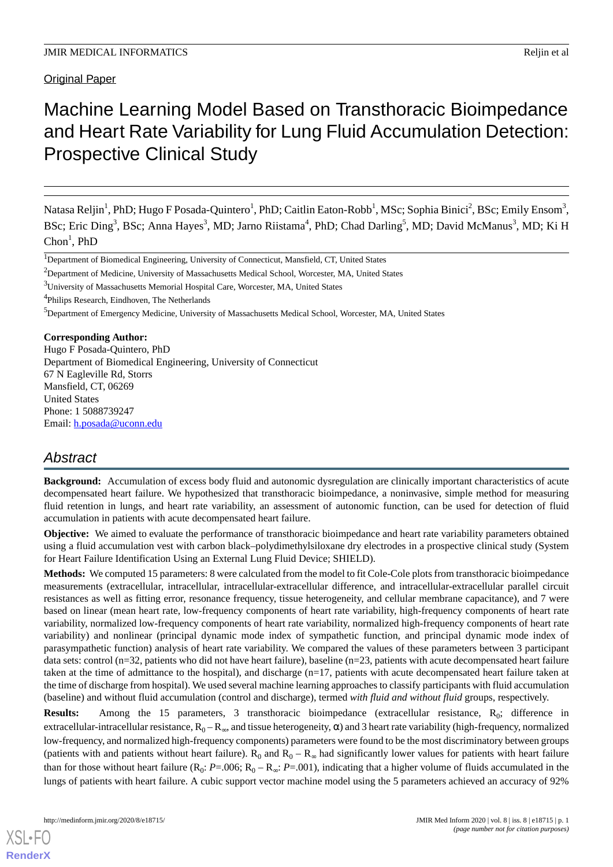**Original Paper** 

# Machine Learning Model Based on Transthoracic Bioimpedance and Heart Rate Variability for Lung Fluid Accumulation Detection: Prospective Clinical Study

Natasa Reljin<sup>1</sup>, PhD; Hugo F Posada-Quintero<sup>1</sup>, PhD; Caitlin Eaton-Robb<sup>1</sup>, MSc; Sophia Binici<sup>2</sup>, BSc; Emily Ensom<sup>3</sup>, BSc; Eric Ding<sup>3</sup>, BSc; Anna Hayes<sup>3</sup>, MD; Jarno Riistama<sup>4</sup>, PhD; Chad Darling<sup>5</sup>, MD; David McManus<sup>3</sup>, MD; Ki H  $Chon<sup>1</sup>$ , PhD

<sup>3</sup>University of Massachusetts Memorial Hospital Care, Worcester, MA, United States

4 Philips Research, Eindhoven, The Netherlands

<sup>5</sup>Department of Emergency Medicine, University of Massachusetts Medical School, Worcester, MA, United States

## **Corresponding Author:**

Hugo F Posada-Quintero, PhD Department of Biomedical Engineering, University of Connecticut 67 N Eagleville Rd, Storrs Mansfield, CT, 06269 United States Phone: 1 5088739247 Email: [h.posada@uconn.edu](mailto:h.posada@uconn.edu)

# *Abstract*

**Background:** Accumulation of excess body fluid and autonomic dysregulation are clinically important characteristics of acute decompensated heart failure. We hypothesized that transthoracic bioimpedance, a noninvasive, simple method for measuring fluid retention in lungs, and heart rate variability, an assessment of autonomic function, can be used for detection of fluid accumulation in patients with acute decompensated heart failure.

**Objective:** We aimed to evaluate the performance of transthoracic bioimpedance and heart rate variability parameters obtained using a fluid accumulation vest with carbon black–polydimethylsiloxane dry electrodes in a prospective clinical study (System for Heart Failure Identification Using an External Lung Fluid Device; SHIELD).

**Methods:** We computed 15 parameters: 8 were calculated from the model to fit Cole-Cole plots from transthoracic bioimpedance measurements (extracellular, intracellular, intracellular-extracellular difference, and intracellular-extracellular parallel circuit resistances as well as fitting error, resonance frequency, tissue heterogeneity, and cellular membrane capacitance), and 7 were based on linear (mean heart rate, low-frequency components of heart rate variability, high-frequency components of heart rate variability, normalized low-frequency components of heart rate variability, normalized high-frequency components of heart rate variability) and nonlinear (principal dynamic mode index of sympathetic function, and principal dynamic mode index of parasympathetic function) analysis of heart rate variability. We compared the values of these parameters between 3 participant data sets: control (n=32, patients who did not have heart failure), baseline (n=23, patients with acute decompensated heart failure taken at the time of admittance to the hospital), and discharge (n=17, patients with acute decompensated heart failure taken at the time of discharge from hospital). We used several machine learning approaches to classify participants with fluid accumulation (baseline) and without fluid accumulation (control and discharge), termed *with fluid and without fluid* groups, respectively.

**Results:** Among the 15 parameters, 3 transthoracic bioimpedance (extracellular resistance, R<sub>0</sub>; difference in extracellular-intracellular resistance,  $R_0 - R_{\infty}$ , and tissue heterogeneity,  $\alpha$ ) and 3 heart rate variability (high-frequency, normalized low-frequency, and normalized high-frequency components) parameters were found to be the most discriminatory between groups (patients with and patients without heart failure).  $R_0$  and  $R_0 - R_\infty$  had significantly lower values for patients with heart failure than for those without heart failure  $(R_0: P=.006; R_0 - R_\infty: P=.001)$ , indicating that a higher volume of fluids accumulated in the lungs of patients with heart failure. A cubic support vector machine model using the 5 parameters achieved an accuracy of 92%

<sup>1</sup>Department of Biomedical Engineering, University of Connecticut, Mansfield, CT, United States

<sup>&</sup>lt;sup>2</sup>Department of Medicine, University of Massachusetts Medical School, Worcester, MA, United States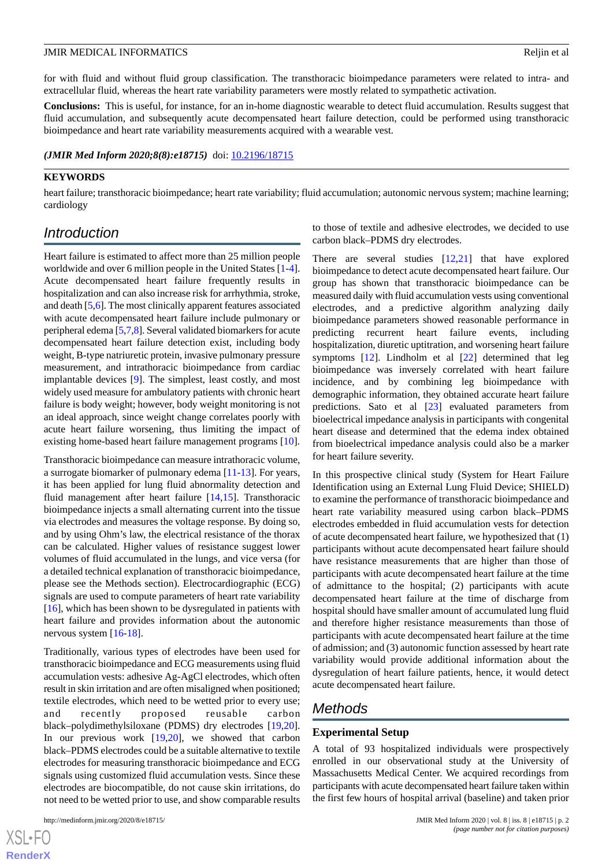for with fluid and without fluid group classification. The transthoracic bioimpedance parameters were related to intra- and extracellular fluid, whereas the heart rate variability parameters were mostly related to sympathetic activation.

**Conclusions:** This is useful, for instance, for an in-home diagnostic wearable to detect fluid accumulation. Results suggest that fluid accumulation, and subsequently acute decompensated heart failure detection, could be performed using transthoracic bioimpedance and heart rate variability measurements acquired with a wearable vest.

*(JMIR Med Inform 2020;8(8):e18715)* doi: [10.2196/18715](http://dx.doi.org/10.2196/18715)

#### **KEYWORDS**

heart failure; transthoracic bioimpedance; heart rate variability; fluid accumulation; autonomic nervous system; machine learning; cardiology

# *Introduction*

Heart failure is estimated to affect more than 25 million people worldwide and over 6 million people in the United States [\[1-](#page-15-0)[4\]](#page-15-1). Acute decompensated heart failure frequently results in hospitalization and can also increase risk for arrhythmia, stroke, and death [\[5](#page-15-2),[6\]](#page-15-3). The most clinically apparent features associated with acute decompensated heart failure include pulmonary or peripheral edema [\[5](#page-15-2),[7,](#page-16-0)[8\]](#page-16-1). Several validated biomarkers for acute decompensated heart failure detection exist, including body weight, B-type natriuretic protein, invasive pulmonary pressure measurement, and intrathoracic bioimpedance from cardiac implantable devices [[9\]](#page-16-2). The simplest, least costly, and most widely used measure for ambulatory patients with chronic heart failure is body weight; however, body weight monitoring is not an ideal approach, since weight change correlates poorly with acute heart failure worsening, thus limiting the impact of existing home-based heart failure management programs [[10\]](#page-16-3).

Transthoracic bioimpedance can measure intrathoracic volume, a surrogate biomarker of pulmonary edema [\[11](#page-16-4)-[13\]](#page-16-5). For years, it has been applied for lung fluid abnormality detection and fluid management after heart failure [[14](#page-16-6)[,15](#page-16-7)]. Transthoracic bioimpedance injects a small alternating current into the tissue via electrodes and measures the voltage response. By doing so, and by using Ohm's law, the electrical resistance of the thorax can be calculated. Higher values of resistance suggest lower volumes of fluid accumulated in the lungs, and vice versa (for a detailed technical explanation of transthoracic bioimpedance, please see the Methods section). Electrocardiographic (ECG) signals are used to compute parameters of heart rate variability [[16\]](#page-16-8), which has been shown to be dysregulated in patients with heart failure and provides information about the autonomic nervous system [\[16](#page-16-8)[-18](#page-16-9)].

Traditionally, various types of electrodes have been used for transthoracic bioimpedance and ECG measurements using fluid accumulation vests: adhesive Ag-AgCl electrodes, which often result in skin irritation and are often misaligned when positioned; textile electrodes, which need to be wetted prior to every use; and recently proposed reusable carbon black–polydimethylsiloxane (PDMS) dry electrodes [\[19](#page-16-10),[20\]](#page-16-11). In our previous work [[19,](#page-16-10)[20](#page-16-11)], we showed that carbon black–PDMS electrodes could be a suitable alternative to textile electrodes for measuring transthoracic bioimpedance and ECG signals using customized fluid accumulation vests. Since these electrodes are biocompatible, do not cause skin irritations, do not need to be wetted prior to use, and show comparable results

to those of textile and adhesive electrodes, we decided to use carbon black–PDMS dry electrodes.

There are several studies  $[12,21]$  $[12,21]$  $[12,21]$  $[12,21]$  that have explored bioimpedance to detect acute decompensated heart failure. Our group has shown that transthoracic bioimpedance can be measured daily with fluid accumulation vests using conventional electrodes, and a predictive algorithm analyzing daily bioimpedance parameters showed reasonable performance in predicting recurrent heart failure events, including hospitalization, diuretic uptitration, and worsening heart failure symptoms [[12\]](#page-16-12). Lindholm et al [\[22](#page-16-14)] determined that leg bioimpedance was inversely correlated with heart failure incidence, and by combining leg bioimpedance with demographic information, they obtained accurate heart failure predictions. Sato et al [[23\]](#page-16-15) evaluated parameters from bioelectrical impedance analysis in participants with congenital heart disease and determined that the edema index obtained from bioelectrical impedance analysis could also be a marker for heart failure severity.

In this prospective clinical study (System for Heart Failure Identification using an External Lung Fluid Device; SHIELD) to examine the performance of transthoracic bioimpedance and heart rate variability measured using carbon black–PDMS electrodes embedded in fluid accumulation vests for detection of acute decompensated heart failure, we hypothesized that (1) participants without acute decompensated heart failure should have resistance measurements that are higher than those of participants with acute decompensated heart failure at the time of admittance to the hospital; (2) participants with acute decompensated heart failure at the time of discharge from hospital should have smaller amount of accumulated lung fluid and therefore higher resistance measurements than those of participants with acute decompensated heart failure at the time of admission; and (3) autonomic function assessed by heart rate variability would provide additional information about the dysregulation of heart failure patients, hence, it would detect acute decompensated heart failure.

# *Methods*

#### **Experimental Setup**

A total of 93 hospitalized individuals were prospectively enrolled in our observational study at the University of Massachusetts Medical Center. We acquired recordings from participants with acute decompensated heart failure taken within the first few hours of hospital arrival (baseline) and taken prior

```
XS-FO
RenderX
```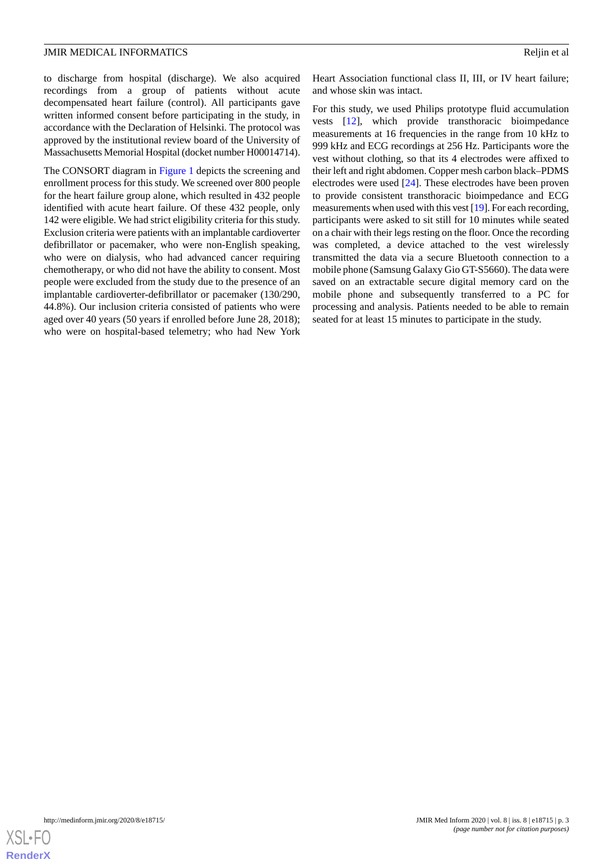to discharge from hospital (discharge). We also acquired recordings from a group of patients without acute decompensated heart failure (control). All participants gave written informed consent before participating in the study, in accordance with the Declaration of Helsinki. The protocol was approved by the institutional review board of the University of Massachusetts Memorial Hospital (docket number H00014714).

The CONSORT diagram in [Figure 1](#page-3-0) depicts the screening and enrollment process for this study. We screened over 800 people for the heart failure group alone, which resulted in 432 people identified with acute heart failure. Of these 432 people, only 142 were eligible. We had strict eligibility criteria for this study. Exclusion criteria were patients with an implantable cardioverter defibrillator or pacemaker, who were non-English speaking, who were on dialysis, who had advanced cancer requiring chemotherapy, or who did not have the ability to consent. Most people were excluded from the study due to the presence of an implantable cardioverter-defibrillator or pacemaker (130/290, 44.8%). Our inclusion criteria consisted of patients who were aged over 40 years (50 years if enrolled before June 28, 2018); who were on hospital-based telemetry; who had New York

Heart Association functional class II, III, or IV heart failure; and whose skin was intact.

For this study, we used Philips prototype fluid accumulation vests [\[12](#page-16-12)], which provide transthoracic bioimpedance measurements at 16 frequencies in the range from 10 kHz to 999 kHz and ECG recordings at 256 Hz. Participants wore the vest without clothing, so that its 4 electrodes were affixed to their left and right abdomen. Copper mesh carbon black–PDMS electrodes were used [[24\]](#page-16-16). These electrodes have been proven to provide consistent transthoracic bioimpedance and ECG measurements when used with this vest [\[19](#page-16-10)]. For each recording, participants were asked to sit still for 10 minutes while seated on a chair with their legs resting on the floor. Once the recording was completed, a device attached to the vest wirelessly transmitted the data via a secure Bluetooth connection to a mobile phone (Samsung Galaxy Gio GT-S5660). The data were saved on an extractable secure digital memory card on the mobile phone and subsequently transferred to a PC for processing and analysis. Patients needed to be able to remain seated for at least 15 minutes to participate in the study.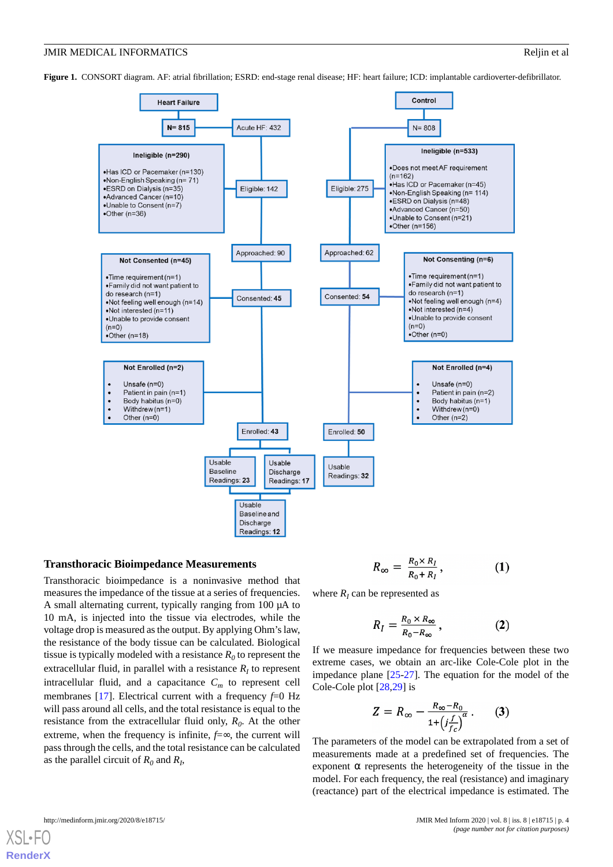<span id="page-3-0"></span>**Figure 1.** CONSORT diagram. AF: atrial fibrillation; ESRD: end-stage renal disease; HF: heart failure; ICD: implantable cardioverter-defibrillator.



#### **Transthoracic Bioimpedance Measurements**

Transthoracic bioimpedance is a noninvasive method that measures the impedance of the tissue at a series of frequencies. A small alternating current, typically ranging from 100 µA to 10 mA, is injected into the tissue via electrodes, while the voltage drop is measured as the output. By applying Ohm's law, the resistance of the body tissue can be calculated. Biological tissue is typically modeled with a resistance  $R_0$  to represent the extracellular fluid, in parallel with a resistance  $R_I$  to represent intracellular fluid, and a capacitance  $C_m$  to represent cell membranes [[17\]](#page-16-17). Electrical current with a frequency  $f=0$  Hz will pass around all cells, and the total resistance is equal to the resistance from the extracellular fluid only, *R<sup>0</sup>* . At the other extreme, when the frequency is infinite,  $f=∞$ , the current will pass through the cells, and the total resistance can be calculated as the parallel circuit of  $R_0$  and  $R_I$ ,

$$
R_{\infty} = \frac{R_0 \times R_I}{R_0 + R_I}, \qquad (1)
$$

where  $R_I$  can be represented as

$$
R_I = \frac{R_0 \times R_\infty}{R_0 - R_\infty},\qquad (2)
$$

If we measure impedance for frequencies between these two extreme cases, we obtain an arc-like Cole-Cole plot in the impedance plane [\[25](#page-16-18)[-27](#page-16-19)]. The equation for the model of the Cole-Cole plot [[28,](#page-16-20)[29](#page-17-0)] is

$$
Z = R_{\infty} - \frac{R_{\infty} - R_0}{1 + \left(j \frac{f}{f_c}\right)^{\alpha}}.
$$
 (3)

The parameters of the model can be extrapolated from a set of measurements made at a predefined set of frequencies. The exponent  $\alpha$  represents the heterogeneity of the tissue in the model. For each frequency, the real (resistance) and imaginary (reactance) part of the electrical impedance is estimated. The

| http://medinform.jmir.org/2020/8/e18715/ |  |
|------------------------------------------|--|
|                                          |  |

[XSL](http://www.w3.org/Style/XSL)•FO **[RenderX](http://www.renderx.com/)**

JMIR Med Inform 2020 | vol. 8 | iss. 8 | e18715 | p. 4 *(page number not for citation purposes)*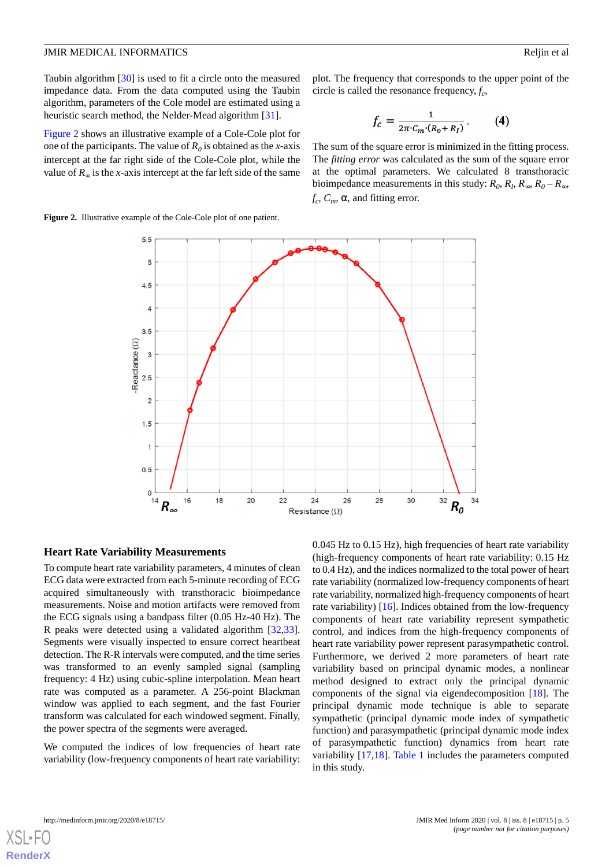Taubin algorithm [[30\]](#page-17-1) is used to fit a circle onto the measured impedance data. From the data computed using the Taubin algorithm, parameters of the Cole model are estimated using a heuristic search method, the Nelder-Mead algorithm [[31\]](#page-17-2).

[Figure 2](#page-4-0) shows an illustrative example of a Cole-Cole plot for one of the participants. The value of  $R_0$  is obtained as the *x*-axis intercept at the far right side of the Cole-Cole plot, while the value of  $R_{\infty}$  is the *x*-axis intercept at the far left side of the same plot. The frequency that corresponds to the upper point of the circle is called the resonance frequency,  $f_c$ ,

$$
f_c = \frac{1}{2\pi \cdot C_m \cdot (R_0 + R_I)}.
$$
 (4)

The sum of the square error is minimized in the fitting process. The *fitting error* was calculated as the sum of the square error at the optimal parameters. We calculated 8 transthoracic bioimpedance measurements in this study:  $R_0$ ,  $R_I$ ,  $R_\infty$ ,  $R_0 - R_\infty$ ,  $f_c$ ,  $C_m$ ,  $\alpha$ , and fitting error.

<span id="page-4-0"></span>**Figure 2.** Illustrative example of the Cole-Cole plot of one patient.



#### **Heart Rate Variability Measurements**

To compute heart rate variability parameters, 4 minutes of clean ECG data were extracted from each 5-minute recording of ECG acquired simultaneously with transthoracic bioimpedance measurements. Noise and motion artifacts were removed from the ECG signals using a bandpass filter (0.05 Hz-40 Hz). The R peaks were detected using a validated algorithm [\[32](#page-17-3),[33\]](#page-17-4). Segments were visually inspected to ensure correct heartbeat detection. The R-R intervals were computed, and the time series was transformed to an evenly sampled signal (sampling frequency: 4 Hz) using cubic-spline interpolation. Mean heart rate was computed as a parameter. A 256-point Blackman window was applied to each segment, and the fast Fourier transform was calculated for each windowed segment. Finally, the power spectra of the segments were averaged.

We computed the indices of low frequencies of heart rate variability (low-frequency components of heart rate variability:

0.045 Hz to 0.15 Hz), high frequencies of heart rate variability (high-frequency components of heart rate variability: 0.15 Hz to 0.4 Hz), and the indices normalized to the total power of heart rate variability (normalized low-frequency components of heart rate variability, normalized high-frequency components of heart rate variability) [\[16](#page-16-8)]. Indices obtained from the low-frequency components of heart rate variability represent sympathetic control, and indices from the high-frequency components of heart rate variability power represent parasympathetic control. Furthermore, we derived 2 more parameters of heart rate variability based on principal dynamic modes, a nonlinear method designed to extract only the principal dynamic components of the signal via eigendecomposition [\[18](#page-16-9)]. The principal dynamic mode technique is able to separate sympathetic (principal dynamic mode index of sympathetic function) and parasympathetic (principal dynamic mode index of parasympathetic function) dynamics from heart rate variability [[17](#page-16-17)[,18](#page-16-9)]. [Table 1](#page-5-0) includes the parameters computed in this study.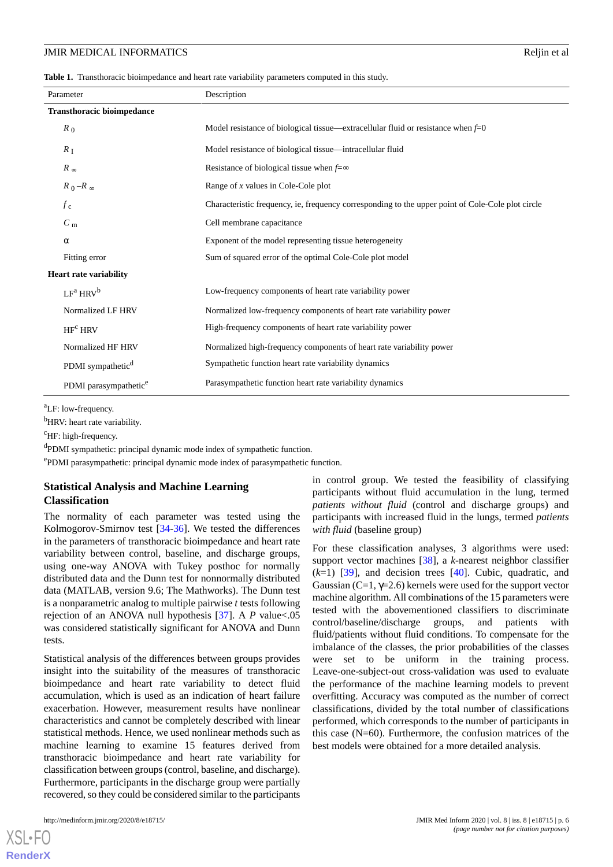<span id="page-5-0"></span>**Table 1.** Transthoracic bioimpedance and heart rate variability parameters computed in this study.

| Parameter                         | Description                                                                                       |  |
|-----------------------------------|---------------------------------------------------------------------------------------------------|--|
| <b>Transthoracic bioimpedance</b> |                                                                                                   |  |
| $R_0$                             | Model resistance of biological tissue—extracellular fluid or resistance when $f=0$                |  |
| $R_{\rm I}$                       | Model resistance of biological tissue—intracellular fluid                                         |  |
| $R_{\infty}$                      | Resistance of biological tissue when $f=\infty$                                                   |  |
| $R_0 - R_\infty$                  | Range of $x$ values in Cole-Cole plot                                                             |  |
| $f_c$                             | Characteristic frequency, ie, frequency corresponding to the upper point of Cole-Cole plot circle |  |
| $C_{\rm m}$                       | Cell membrane capacitance                                                                         |  |
| $\alpha$                          | Exponent of the model representing tissue heterogeneity                                           |  |
| Fitting error                     | Sum of squared error of the optimal Cole-Cole plot model                                          |  |
| <b>Heart rate variability</b>     |                                                                                                   |  |
| LF <sup>a</sup> HRV <sup>b</sup>  | Low-frequency components of heart rate variability power                                          |  |
| Normalized LF HRV                 | Normalized low-frequency components of heart rate variability power                               |  |
| HF <sup>c</sup> HRV               | High-frequency components of heart rate variability power                                         |  |
| Normalized HF HRV                 | Normalized high-frequency components of heart rate variability power                              |  |
| PDMI sympathetic <sup>d</sup>     | Sympathetic function heart rate variability dynamics                                              |  |
| PDMI parasympathetic <sup>e</sup> | Parasympathetic function heart rate variability dynamics                                          |  |

<sup>a</sup>LF: low-frequency.

<sup>b</sup>HRV: heart rate variability.

 $\mathrm{^cHF:}$  high-frequency.

<sup>d</sup>PDMI sympathetic: principal dynamic mode index of sympathetic function.

e PDMI parasympathetic: principal dynamic mode index of parasympathetic function.

### **Statistical Analysis and Machine Learning Classification**

The normality of each parameter was tested using the Kolmogorov-Smirnov test [\[34](#page-17-5)[-36](#page-17-6)]. We tested the differences in the parameters of transthoracic bioimpedance and heart rate variability between control, baseline, and discharge groups, using one-way ANOVA with Tukey posthoc for normally distributed data and the Dunn test for nonnormally distributed data (MATLAB, version 9.6; The Mathworks). The Dunn test is a nonparametric analog to multiple pairwise *t* tests following rejection of an ANOVA null hypothesis [\[37](#page-17-7)]. A *P* value<.05 was considered statistically significant for ANOVA and Dunn tests.

Statistical analysis of the differences between groups provides insight into the suitability of the measures of transthoracic bioimpedance and heart rate variability to detect fluid accumulation, which is used as an indication of heart failure exacerbation. However, measurement results have nonlinear characteristics and cannot be completely described with linear statistical methods. Hence, we used nonlinear methods such as machine learning to examine 15 features derived from transthoracic bioimpedance and heart rate variability for classification between groups (control, baseline, and discharge). Furthermore, participants in the discharge group were partially recovered, so they could be considered similar to the participants

[XSL](http://www.w3.org/Style/XSL)•FO **[RenderX](http://www.renderx.com/)**

in control group. We tested the feasibility of classifying participants without fluid accumulation in the lung, termed *patients without fluid* (control and discharge groups) and participants with increased fluid in the lungs, termed *patients with fluid* (baseline group)

For these classification analyses, 3 algorithms were used: support vector machines [\[38](#page-17-8)], a *k*-nearest neighbor classifier  $(k=1)$  [[39\]](#page-17-9), and decision trees [[40\]](#page-17-10). Cubic, quadratic, and Gaussian (C=1,  $\gamma$ =2.6) kernels were used for the support vector machine algorithm. All combinations of the 15 parameters were tested with the abovementioned classifiers to discriminate control/baseline/discharge groups, and patients with fluid/patients without fluid conditions. To compensate for the imbalance of the classes, the prior probabilities of the classes were set to be uniform in the training process. Leave-one-subject-out cross-validation was used to evaluate the performance of the machine learning models to prevent overfitting. Accuracy was computed as the number of correct classifications, divided by the total number of classifications performed, which corresponds to the number of participants in this case (N=60). Furthermore, the confusion matrices of the best models were obtained for a more detailed analysis.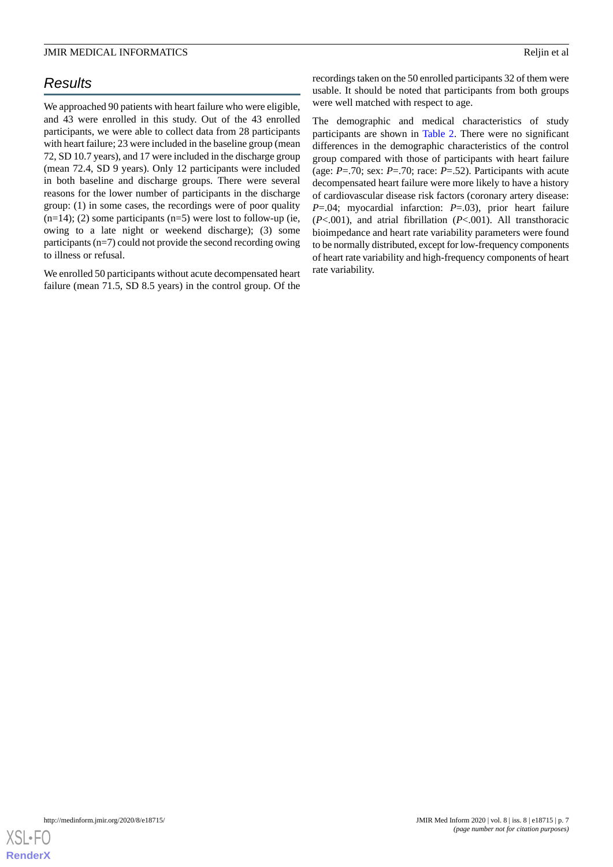# *Results*

We approached 90 patients with heart failure who were eligible, and 43 were enrolled in this study. Out of the 43 enrolled participants, we were able to collect data from 28 participants with heart failure; 23 were included in the baseline group (mean 72, SD 10.7 years), and 17 were included in the discharge group (mean 72.4, SD 9 years). Only 12 participants were included in both baseline and discharge groups. There were several reasons for the lower number of participants in the discharge group: (1) in some cases, the recordings were of poor quality  $(n=14)$ ; (2) some participants  $(n=5)$  were lost to follow-up (ie, owing to a late night or weekend discharge); (3) some participants (n=7) could not provide the second recording owing to illness or refusal.

We enrolled 50 participants without acute decompensated heart failure (mean 71.5, SD 8.5 years) in the control group. Of the

recordings taken on the 50 enrolled participants 32 of them were usable. It should be noted that participants from both groups were well matched with respect to age.

The demographic and medical characteristics of study participants are shown in [Table 2](#page-7-0). There were no significant differences in the demographic characteristics of the control group compared with those of participants with heart failure (age: *P*=.70; sex: *P*=.70; race: *P*=.52). Participants with acute decompensated heart failure were more likely to have a history of cardiovascular disease risk factors (coronary artery disease: *P*=.04; myocardial infarction: *P*=.03), prior heart failure (*P*<.001), and atrial fibrillation (*P*<.001). All transthoracic bioimpedance and heart rate variability parameters were found to be normally distributed, except for low-frequency components of heart rate variability and high-frequency components of heart rate variability.

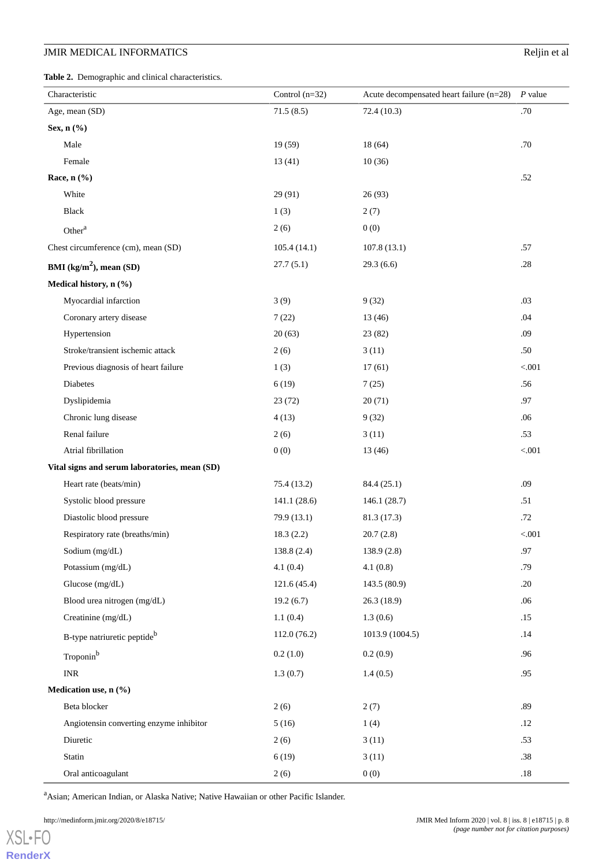<span id="page-7-0"></span>**Table 2.** Demographic and clinical characteristics.

| Characteristic                                | Control $(n=32)$ | Acute decompensated heart failure $(n=28)$ | $P$ value |
|-----------------------------------------------|------------------|--------------------------------------------|-----------|
| Age, mean (SD)                                | 71.5(8.5)        | 72.4 (10.3)                                | .70       |
| Sex, n (%)                                    |                  |                                            |           |
| Male                                          | 19 (59)          | 18(64)                                     | .70       |
| Female                                        | 13(41)           | 10(36)                                     |           |
| Race, n (%)                                   |                  |                                            | .52       |
| White                                         | 29 (91)          | 26(93)                                     |           |
| Black                                         | 1(3)             | 2(7)                                       |           |
| Other <sup>a</sup>                            | 2(6)             | 0(0)                                       |           |
| Chest circumference (cm), mean (SD)           | 105.4(14.1)      | 107.8(13.1)                                | .57       |
| BMI $(kg/m2)$ , mean (SD)                     | 27.7(5.1)        | 29.3(6.6)                                  | .28       |
| Medical history, n (%)                        |                  |                                            |           |
| Myocardial infarction                         | 3(9)             | 9(32)                                      | .03       |
| Coronary artery disease                       | 7(22)            | 13(46)                                     | .04       |
| Hypertension                                  | 20(63)           | 23 (82)                                    | .09       |
| Stroke/transient ischemic attack              | 2(6)             | 3(11)                                      | .50       |
| Previous diagnosis of heart failure           | 1(3)             | 17(61)                                     | < 0.001   |
| Diabetes                                      | 6(19)            | 7(25)                                      | .56       |
| Dyslipidemia                                  | 23(72)           | 20(71)                                     | .97       |
| Chronic lung disease                          | 4(13)            | 9(32)                                      | .06       |
| Renal failure                                 | 2(6)             | 3(11)                                      | .53       |
| Atrial fibrillation                           | 0(0)             | 13(46)                                     | < 0.001   |
| Vital signs and serum laboratories, mean (SD) |                  |                                            |           |
| Heart rate (beats/min)                        | 75.4 (13.2)      | 84.4 (25.1)                                | .09       |
| Systolic blood pressure                       | 141.1(28.6)      | 146.1(28.7)                                | .51       |
| Diastolic blood pressure                      | 79.9 (13.1)      | 81.3 (17.3)                                | .72       |
| Respiratory rate (breaths/min)                | 18.3(2.2)        | 20.7(2.8)                                  | $< 001$   |
| Sodium (mg/dL)                                | 138.8 (2.4)      | 138.9(2.8)                                 | .97       |
| Potassium (mg/dL)                             | 4.1(0.4)         | 4.1(0.8)                                   | .79       |
| Glucose (mg/dL)                               | 121.6 (45.4)     | 143.5 (80.9)                               | .20       |
| Blood urea nitrogen (mg/dL)                   | 19.2(6.7)        | 26.3 (18.9)                                | .06       |
| Creatinine (mg/dL)                            | 1.1(0.4)         | 1.3(0.6)                                   | .15       |
| B-type natriuretic peptide <sup>b</sup>       | 112.0(76.2)      | 1013.9 (1004.5)                            | .14       |
| Troponin <sup>b</sup>                         | 0.2(1.0)         | 0.2(0.9)                                   | .96       |
| <b>INR</b>                                    | 1.3(0.7)         | 1.4(0.5)                                   | .95       |
| Medication use, n (%)                         |                  |                                            |           |
| Beta blocker                                  | 2(6)             | 2(7)                                       | .89       |
| Angiotensin converting enzyme inhibitor       | 5(16)            | 1(4)                                       | .12       |
| Diuretic                                      | 2(6)             | 3(11)                                      | .53       |
| Statin                                        | 6(19)            | 3(11)                                      | .38       |
| Oral anticoagulant                            | 2(6)             | 0(0)                                       | $.18\,$   |

<sup>a</sup>Asian; American Indian, or Alaska Native; Native Hawaiian or other Pacific Islander.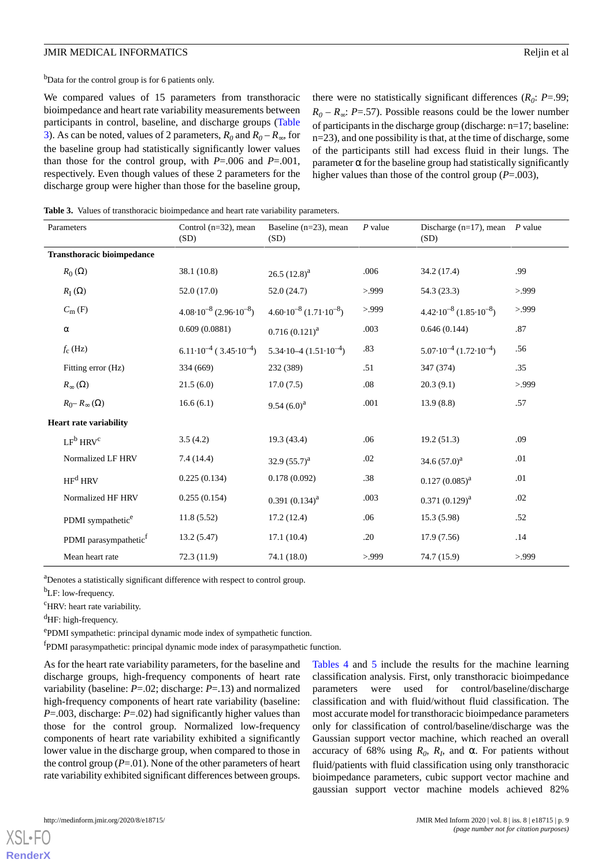<sup>b</sup>Data for the control group is for 6 patients only.

We compared values of 15 parameters from transthoracic bioimpedance and heart rate variability measurements between participants in control, baseline, and discharge groups ([Table](#page-8-0) [3\)](#page-8-0). As can be noted, values of 2 parameters,  $R_0$  and  $R_0 - R_{\infty}$ , for the baseline group had statistically significantly lower values than those for the control group, with *P*=.006 and *P*=.001, respectively. Even though values of these 2 parameters for the discharge group were higher than those for the baseline group,

there were no statistically significant differences  $(R_0: P = .99)$ ;  $R_0 - R_{\infty}$ : *P*=.57). Possible reasons could be the lower number of participants in the discharge group (discharge: n=17; baseline: n=23), and one possibility is that, at the time of discharge, some of the participants still had excess fluid in their lungs. The parameter  $\alpha$  for the baseline group had statistically significantly higher values than those of the control group (*P*=.003),

<span id="page-8-0"></span>**Table 3.** Values of transthoracic bioimpedance and heart rate variability parameters.

| Parameters                        | Control $(n=32)$ , mean<br>(SD)               | Baseline $(n=23)$ , mean<br>(SD)            | $P$ value | Discharge (n=17), mean $P$ value<br>(SD)    |      |
|-----------------------------------|-----------------------------------------------|---------------------------------------------|-----------|---------------------------------------------|------|
| <b>Transthoracic bioimpedance</b> |                                               |                                             |           |                                             |      |
| $R_0(\Omega)$                     | 38.1 (10.8)                                   | 26.5 $(12.8)^{a}$                           | .006      | 34.2 (17.4)                                 | .99  |
| $R_{\rm I}\left(\Omega\right)$    | 52.0(17.0)                                    | 52.0(24.7)                                  | >999      | 54.3 (23.3)                                 | >999 |
| $C_m$ (F)                         | $4.08 \cdot 10^{-8}$ (2.96 $\cdot 10^{-8}$ )  | $4.60 \cdot 10^{-8}$ $(1.71 \cdot 10^{-8})$ | >999      | $4.42 \cdot 10^{-8}$ $(1.85 \cdot 10^{-8})$ | >999 |
| $\alpha$                          | 0.609(0.0881)                                 | $0.716(0.121)^{a}$                          | .003      | 0.646(0.144)                                | .87  |
| $f_c$ (Hz)                        | $6.11 \cdot 10^{-4}$ ( $3.45 \cdot 10^{-4}$ ) | $5.34 \cdot 10 - 4 (1.51 \cdot 10^{-4})$    | .83       | $5.07 \cdot 10^{-4}$ $(1.72 \cdot 10^{-4})$ | .56  |
| Fitting error (Hz)                | 334 (669)                                     | 232 (389)                                   | .51       | 347 (374)                                   | .35  |
| $R_{\infty}(\Omega)$              | 21.5(6.0)                                     | 17.0(7.5)                                   | .08       | 20.3(9.1)                                   | >999 |
| $R_{0}$ – $R_{\infty}(\Omega)$    | 16.6(6.1)                                     | 9.54 $(6.0)^a$                              | .001      | 13.9(8.8)                                   | .57  |
| <b>Heart rate variability</b>     |                                               |                                             |           |                                             |      |
| LF <sup>b</sup> HRV <sup>c</sup>  | 3.5(4.2)                                      | 19.3(43.4)                                  | .06       | 19.2(51.3)                                  | .09  |
| Normalized LF HRV                 | 7.4(14.4)                                     | 32.9 $(55.7)^{a}$                           | .02       | 34.6 $(57.0)^a$                             | .01  |
| HF <sup>d</sup> HRV               | 0.225(0.134)                                  | 0.178(0.092)                                | .38       | $0.127(0.085)^{a}$                          | .01  |
| Normalized HF HRV                 | 0.255(0.154)                                  | $0.391(0.134)^{a}$                          | .003      | $0.371(0.129)^{a}$                          | .02  |
| PDMI sympathetic <sup>e</sup>     | 11.8(5.52)                                    | 17.2(12.4)                                  | .06       | 15.3(5.98)                                  | .52  |
| PDMI parasympathetic <sup>f</sup> | 13.2(5.47)                                    | 17.1(10.4)                                  | .20       | 17.9(7.56)                                  | .14  |
| Mean heart rate                   | 72.3(11.9)                                    | 74.1 (18.0)                                 | >999      | 74.7 (15.9)                                 | >999 |

<sup>a</sup>Denotes a statistically significant difference with respect to control group.

<sup>b</sup>LF: low-frequency.

<sup>c</sup>HRV: heart rate variability.

<sup>d</sup>HF: high-frequency.

e PDMI sympathetic: principal dynamic mode index of sympathetic function.

<sup>f</sup>PDMI parasympathetic: principal dynamic mode index of parasympathetic function.

As for the heart rate variability parameters, for the baseline and discharge groups, high-frequency components of heart rate variability (baseline: *P*=.02; discharge: *P*=.13) and normalized high-frequency components of heart rate variability (baseline: *P*=.003, discharge: *P*=.02) had significantly higher values than those for the control group. Normalized low-frequency components of heart rate variability exhibited a significantly lower value in the discharge group, when compared to those in the control group  $(P=01)$ . None of the other parameters of heart rate variability exhibited significant differences between groups.

[Tables 4](#page-10-0) and [5](#page-12-0) include the results for the machine learning classification analysis. First, only transthoracic bioimpedance parameters were used for control/baseline/discharge classification and with fluid/without fluid classification. The most accurate model for transthoracic bioimpedance parameters only for classification of control/baseline/discharge was the Gaussian support vector machine, which reached an overall accuracy of 68% using  $R_0$ ,  $R_I$ , and  $\alpha$ . For patients without fluid/patients with fluid classification using only transthoracic bioimpedance parameters, cubic support vector machine and gaussian support vector machine models achieved 82%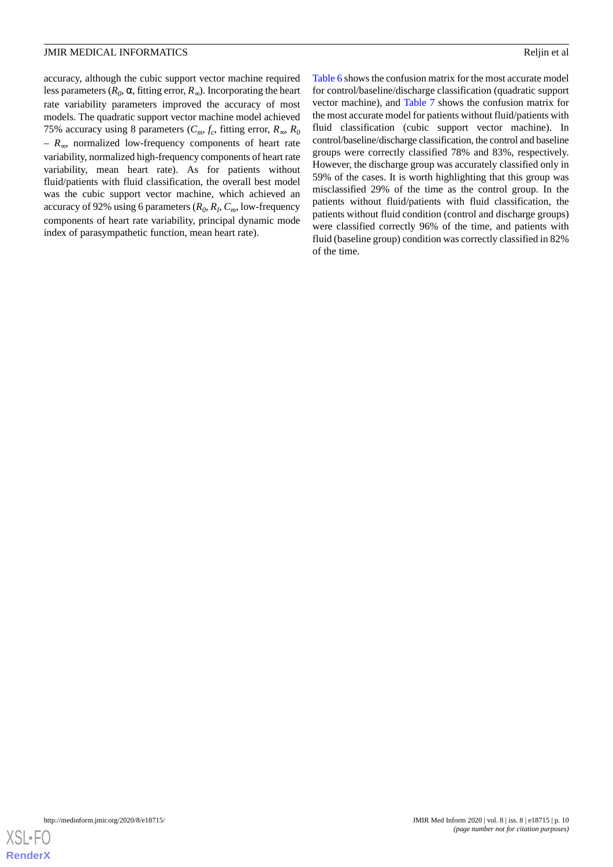accuracy, although the cubic support vector machine required less parameters ( $R_0$ ,  $\alpha$ , fitting error,  $R_{\infty}$ ). Incorporating the heart rate variability parameters improved the accuracy of most models. The quadratic support vector machine model achieved 75% accuracy using 8 parameters ( $C_m$ ,  $f_c$ , fitting error,  $R_\infty$ ,  $R_0$ *– R*∞, normalized low-frequency components of heart rate variability, normalized high-frequency components of heart rate variability, mean heart rate). As for patients without fluid/patients with fluid classification, the overall best model was the cubic support vector machine, which achieved an accuracy of 92% using 6 parameters (*R<sup>0</sup>* , *R<sup>I</sup>* , *Cm*, low-frequency components of heart rate variability, principal dynamic mode index of parasympathetic function, mean heart rate).

[Table 6](#page-13-0) shows the confusion matrix for the most accurate model for control/baseline/discharge classification (quadratic support vector machine), and [Table 7](#page-13-1) shows the confusion matrix for the most accurate model for patients without fluid/patients with fluid classification (cubic support vector machine). In control/baseline/discharge classification, the control and baseline groups were correctly classified 78% and 83%, respectively. However, the discharge group was accurately classified only in 59% of the cases. It is worth highlighting that this group was misclassified 29% of the time as the control group. In the patients without fluid/patients with fluid classification, the patients without fluid condition (control and discharge groups) were classified correctly 96% of the time, and patients with fluid (baseline group) condition was correctly classified in 82% of the time.

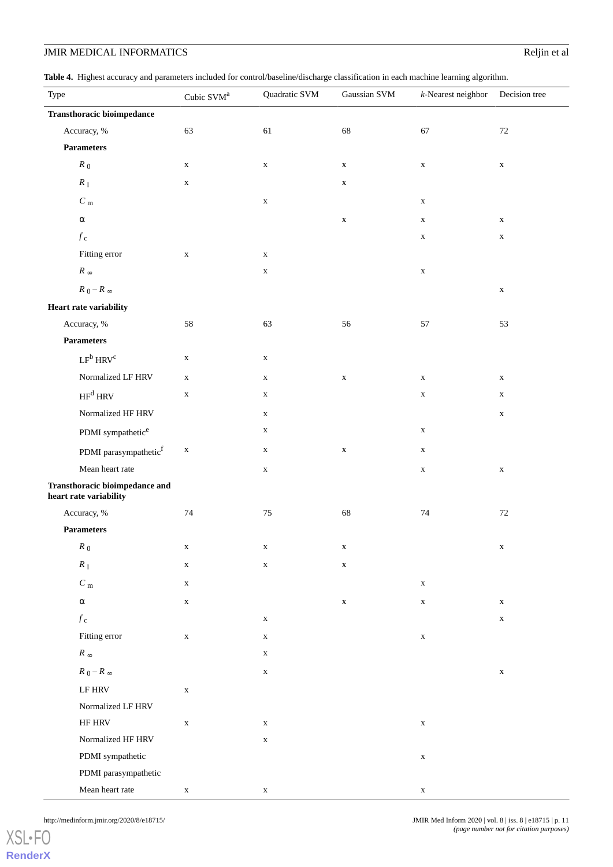<span id="page-10-0"></span>**Table 4.** Highest accuracy and parameters included for control/baseline/discharge classification in each machine learning algorithm.

| $\overline{\phantom{a}}$<br>Type                         | Cubic SVM <sup>a</sup> | ÷<br>Quadratic SVM | Gaussian SVM | $k$ -Nearest neighbor | Decision tree |
|----------------------------------------------------------|------------------------|--------------------|--------------|-----------------------|---------------|
| <b>Transthoracic bioimpedance</b>                        |                        |                    |              |                       |               |
| Accuracy, %                                              | 63                     | 61                 | 68           | 67                    | $72\,$        |
| <b>Parameters</b>                                        |                        |                    |              |                       |               |
| $R_0$                                                    | $\mathbf X$            | $\mathbf X$        | $\mathbf X$  | $\mathbf X$           | $\mathbf X$   |
| $R_{\rm I}$                                              | $\mathbf X$            |                    | $\mathbf X$  |                       |               |
| $C_{\rm\,m}$                                             |                        | $\mathbf X$        |              | $\mathbf X$           |               |
| $\alpha$                                                 |                        |                    | $\mathbf X$  | $\mathbf X$           | $\mathbf X$   |
| $f_{\rm\,c}$                                             |                        |                    |              | $\mathbf X$           | $\mathbf X$   |
| Fitting error                                            | $\mathbf X$            | $\mathbf X$        |              |                       |               |
| $R_\infty$                                               |                        | $\mathbf X$        |              | $\mathbf X$           |               |
| $R_0 - R_\infty$                                         |                        |                    |              |                       | $\mathbf X$   |
| <b>Heart rate variability</b>                            |                        |                    |              |                       |               |
| Accuracy, %                                              | 58                     | 63                 | 56           | 57                    | 53            |
| <b>Parameters</b>                                        |                        |                    |              |                       |               |
| $LF^b$ HRV <sup>c</sup>                                  | $\mathbf X$            | $\mathbf X$        |              |                       |               |
| Normalized LF HRV                                        | $\mathbf X$            | $\mathbf X$        | $\mathbf X$  | $\mathbf X$           | $\mathbf X$   |
| $\mathbf{HF}^{\mathbf{d}}$ HRV                           | $\mathbf X$            | $\mathbf X$        |              | $\mathbf X$           | $\mathbf X$   |
| Normalized HF HRV                                        |                        | $\mathbf X$        |              |                       | $\mathbf X$   |
| PDMI sympathetic <sup>e</sup>                            |                        | $\mathbf X$        |              | $\mathbf X$           |               |
| PDMI parasympathetic $^{\rm f}$                          | $\mathbf X$            | $\mathbf X$        | $\mathbf X$  | $\mathbf X$           |               |
| Mean heart rate                                          |                        | $\mathbf X$        |              | $\mathbf X$           | $\mathbf X$   |
| Transthoracic bioimpedance and<br>heart rate variability |                        |                    |              |                       |               |
| Accuracy, %                                              | $74\,$                 | $75\,$             | 68           | 74                    | $72\,$        |
| <b>Parameters</b>                                        |                        |                    |              |                       |               |
| $R_{\rm 0}$                                              | $\mathbf X$            | X                  | $\mathbf x$  |                       | $\mathbf X$   |
| $R_{\rm I}$                                              | $\mathbf X$            | $\mathbf X$        | $\mathbf X$  |                       |               |
| $C_{\rm\,m}$                                             | $\mathbf X$            |                    |              | $\mathbf X$           |               |
| $\alpha$                                                 | $\mathbf X$            |                    | $\mathbf X$  | $\mathbf X$           | $\mathbf X$   |
| $f_{\rm\,c}$                                             |                        | $\mathbf X$        |              |                       | $\mathbf X$   |
| Fitting error                                            | $\mathbf X$            | $\mathbf X$        |              | $\mathbf X$           |               |
| $R_\infty$                                               |                        | $\mathbf X$        |              |                       |               |
| $R_0 - R_\infty$                                         |                        | $\mathbf X$        |              |                       | $\mathbf X$   |
| $\operatorname{LF}$ HRV                                  | $\mathbf X$            |                    |              |                       |               |
| Normalized LF HRV                                        |                        |                    |              |                       |               |
| HF HRV                                                   | $\mathbf X$            | $\mathbf X$        |              | $\mathbf X$           |               |
| Normalized HF HRV                                        |                        | $\mathbf X$        |              |                       |               |
| PDMI sympathetic                                         |                        |                    |              | $\mathbf X$           |               |
| PDMI parasympathetic                                     |                        |                    |              |                       |               |
| Mean heart rate                                          | $\mathbf X$            | $\mathbf X$        |              | $\mathbf X$           |               |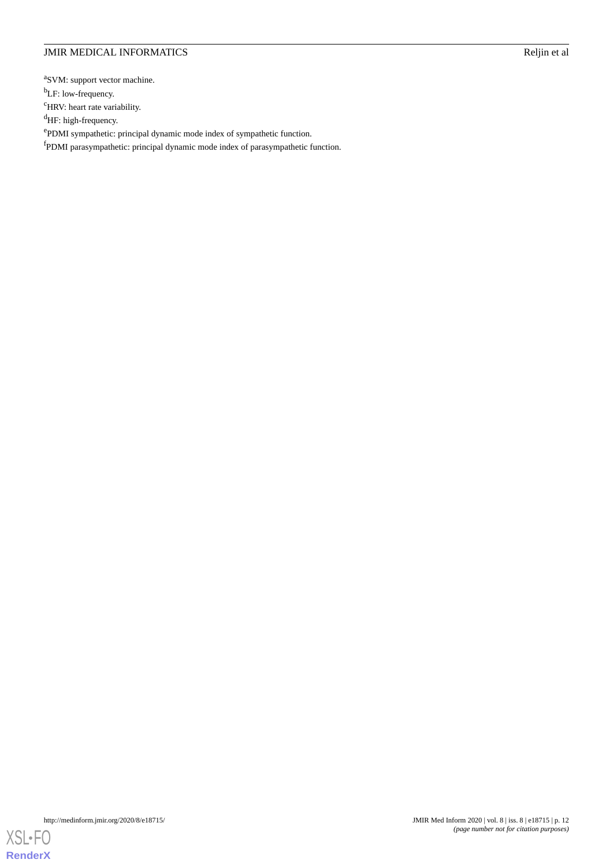<sup>a</sup>SVM: support vector machine.

<sup>b</sup>LF: low-frequency.

<sup>c</sup>HRV: heart rate variability.

<sup>d</sup>HF: high-frequency.

e PDMI sympathetic: principal dynamic mode index of sympathetic function.

<sup>f</sup>PDMI parasympathetic: principal dynamic mode index of parasympathetic function.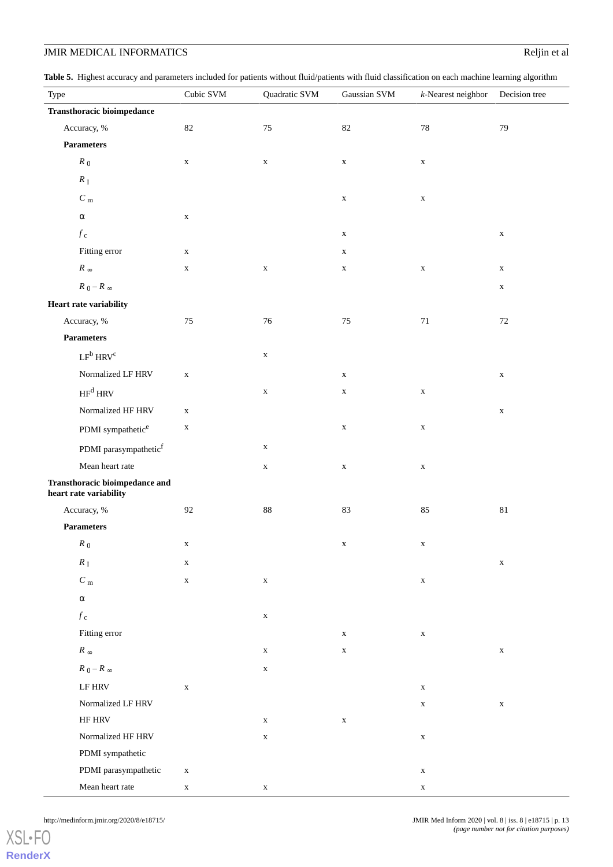<span id="page-12-0"></span>Table 5. Highest accuracy and parameters included for patients without fluid/patients with fluid classification on each machine learning algorithm

| Type                                                     | and parameters meridian for patients while at mand patients while these choich on each machine realing<br>Cubic SVM | Quadratic SVM | Gaussian SVM | $k$ -Nearest neighbor | Decision tree |
|----------------------------------------------------------|---------------------------------------------------------------------------------------------------------------------|---------------|--------------|-----------------------|---------------|
| <b>Transthoracic bioimpedance</b>                        |                                                                                                                     |               |              |                       |               |
| Accuracy, %                                              | $82\,$                                                                                                              | $75\,$        | $82\,$       | $78\,$                | 79            |
| <b>Parameters</b>                                        |                                                                                                                     |               |              |                       |               |
| $R_0$                                                    | $\mathbf X$                                                                                                         | $\mathbf X$   | $\mathbf X$  | $\mathbf X$           |               |
| $R_{\rm I}$                                              |                                                                                                                     |               |              |                       |               |
| $C_{\rm\,m}$                                             |                                                                                                                     |               | $\mathbf X$  | $\mathbf X$           |               |
| $\alpha$                                                 | $\mathbf X$                                                                                                         |               |              |                       |               |
| $f_{\rm\,c}$                                             |                                                                                                                     |               | $\mathbf X$  |                       | $\mathbf X$   |
| Fitting error                                            |                                                                                                                     |               |              |                       |               |
|                                                          | $\mathbf X$                                                                                                         |               | $\mathbf X$  |                       |               |
| $R_\infty$                                               | $\mathbf X$                                                                                                         | $\mathbf X$   | $\mathbf X$  | $\mathbf X$           | $\mathbf X$   |
| $R_0 - R_\infty$                                         |                                                                                                                     |               |              |                       | $\mathbf X$   |
| <b>Heart rate variability</b>                            |                                                                                                                     |               |              |                       |               |
| Accuracy, %                                              | $75\,$                                                                                                              | $76\,$        | $75\,$       | $71\,$                | $72\,$        |
| <b>Parameters</b>                                        |                                                                                                                     |               |              |                       |               |
| $LF^b$ HRV <sup>c</sup>                                  |                                                                                                                     | $\mathbf X$   |              |                       |               |
| Normalized LF HRV                                        | $\mathbf X$                                                                                                         |               | $\mathbf X$  |                       | $\mathbf X$   |
| $\mathsf{HF}^{\mathsf{d}}\mathsf{HRV}$                   |                                                                                                                     | $\mathbf X$   | $\mathbf X$  | $\mathbf X$           |               |
| Normalized HF HRV                                        | $\mathbf X$                                                                                                         |               |              |                       | $\mathbf X$   |
| PDMI sympathetic <sup>e</sup>                            | $\mathbf X$                                                                                                         |               | $\mathbf X$  | $\mathbf X$           |               |
| PDMI parasympathetic $^{\rm f}$                          |                                                                                                                     | $\mathbf X$   |              |                       |               |
| Mean heart rate                                          |                                                                                                                     | $\mathbf X$   | $\mathbf X$  | $\mathbf X$           |               |
| Transthoracic bioimpedance and<br>heart rate variability |                                                                                                                     |               |              |                       |               |
| Accuracy, %                                              | $92\,$                                                                                                              | $88\,$        | 83           | 85                    | $81\,$        |
| <b>Parameters</b>                                        |                                                                                                                     |               |              |                       |               |
| $R_{\rm 0}$                                              | X                                                                                                                   |               | X            | X                     |               |
| $R_{\rm I}$                                              | $\mathbf X$                                                                                                         |               |              |                       | $\mathbf X$   |
| $C_{\rm \,m}$                                            | $\mathbf X$                                                                                                         | $\mathbf X$   |              | $\mathbf X$           |               |
| $\alpha$                                                 |                                                                                                                     |               |              |                       |               |
| $f_{\rm\,c}$                                             |                                                                                                                     | $\mathbf X$   |              |                       |               |
| Fitting error                                            |                                                                                                                     |               | $\mathbf X$  | $\mathbf X$           |               |
| $R_\infty$                                               |                                                                                                                     | $\mathbf X$   | $\mathbf X$  |                       | $\mathbf X$   |
| $R_0-R_\infty$                                           |                                                                                                                     | $\mathbf X$   |              |                       |               |
| $\operatorname{LF}$ HRV                                  | $\mathbf X$                                                                                                         |               |              | $\mathbf X$           |               |
| Normalized LF HRV                                        |                                                                                                                     |               |              | $\mathbf X$           | $\mathbf X$   |
| $\rm HF$ $\rm HRV$                                       |                                                                                                                     | $\mathbf X$   | $\mathbf X$  |                       |               |
| Normalized HF HRV                                        |                                                                                                                     | $\mathbf X$   |              | $\mathbf X$           |               |
| PDMI sympathetic                                         |                                                                                                                     |               |              |                       |               |
| PDMI parasympathetic                                     | $\mathbf X$                                                                                                         |               |              | $\mathbf X$           |               |
| Mean heart rate                                          | $\mathbf X$                                                                                                         | $\mathbf X$   |              | $\mathbf X$           |               |

```
XSL•FO
RenderX
```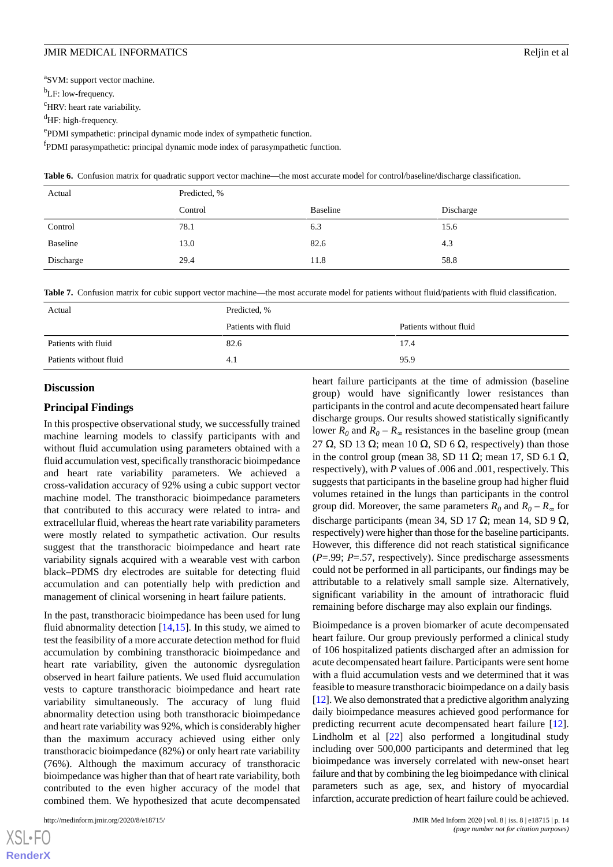<sup>a</sup>SVM: support vector machine.

b<sub>LF</sub>: low-frequency.

<sup>c</sup>HRV: heart rate variability.

<sup>d</sup>HF: high-frequency.

e PDMI sympathetic: principal dynamic mode index of sympathetic function.

<span id="page-13-0"></span><sup>f</sup>PDMI parasympathetic: principal dynamic mode index of parasympathetic function.

Table 6. Confusion matrix for quadratic support vector machine—the most accurate model for control/baseline/discharge classification.

| Actual    | Predicted, % |          |           |
|-----------|--------------|----------|-----------|
|           | Control      | Baseline | Discharge |
| Control   | 78.1         | 6.3      | 15.6      |
| Baseline  | 13.0         | 82.6     | 4.3       |
| Discharge | 29.4         | 11.8     | 58.8      |

<span id="page-13-1"></span>Table 7. Confusion matrix for cubic support vector machine—the most accurate model for patients without fluid/patients with fluid classification.

| Actual                 | Predicted, %        |                        |  |
|------------------------|---------------------|------------------------|--|
|                        | Patients with fluid | Patients without fluid |  |
| Patients with fluid    | 82.6                | 17.4                   |  |
| Patients without fluid | 4.1                 | 95.9                   |  |

#### **Discussion**

#### **Principal Findings**

In this prospective observational study, we successfully trained machine learning models to classify participants with and without fluid accumulation using parameters obtained with a fluid accumulation vest, specifically transthoracic bioimpedance and heart rate variability parameters. We achieved a cross-validation accuracy of 92% using a cubic support vector machine model. The transthoracic bioimpedance parameters that contributed to this accuracy were related to intra- and extracellular fluid, whereas the heart rate variability parameters were mostly related to sympathetic activation. Our results suggest that the transthoracic bioimpedance and heart rate variability signals acquired with a wearable vest with carbon black–PDMS dry electrodes are suitable for detecting fluid accumulation and can potentially help with prediction and management of clinical worsening in heart failure patients.

In the past, transthoracic bioimpedance has been used for lung fluid abnormality detection  $[14,15]$  $[14,15]$  $[14,15]$  $[14,15]$ . In this study, we aimed to test the feasibility of a more accurate detection method for fluid accumulation by combining transthoracic bioimpedance and heart rate variability, given the autonomic dysregulation observed in heart failure patients. We used fluid accumulation vests to capture transthoracic bioimpedance and heart rate variability simultaneously. The accuracy of lung fluid abnormality detection using both transthoracic bioimpedance and heart rate variability was 92%, which is considerably higher than the maximum accuracy achieved using either only transthoracic bioimpedance (82%) or only heart rate variability (76%). Although the maximum accuracy of transthoracic bioimpedance was higher than that of heart rate variability, both contributed to the even higher accuracy of the model that combined them. We hypothesized that acute decompensated

heart failure participants at the time of admission (baseline group) would have significantly lower resistances than participants in the control and acute decompensated heart failure discharge groups. Our results showed statistically significantly lower  $R_0$  and  $R_0 - R_{\infty}$  resistances in the baseline group (mean 27 Ω, SD 13 Ω; mean 10 Ω, SD 6 Ω, respectively) than those in the control group (mean 38, SD 11 Ω; mean 17, SD 6.1 Ω, respectively), with *P* values of .006 and .001, respectively. This suggests that participants in the baseline group had higher fluid volumes retained in the lungs than participants in the control group did. Moreover, the same parameters  $R_0$  and  $R_0 - R_\infty$  for discharge participants (mean 34, SD 17  $\Omega$ ; mean 14, SD 9  $\Omega$ , respectively) were higher than those for the baseline participants. However, this difference did not reach statistical significance (*P*=.99; *P*=.57, respectively). Since predischarge assessments could not be performed in all participants, our findings may be attributable to a relatively small sample size. Alternatively, significant variability in the amount of intrathoracic fluid remaining before discharge may also explain our findings.

Bioimpedance is a proven biomarker of acute decompensated heart failure. Our group previously performed a clinical study of 106 hospitalized patients discharged after an admission for acute decompensated heart failure. Participants were sent home with a fluid accumulation vests and we determined that it was feasible to measure transthoracic bioimpedance on a daily basis [[12\]](#page-16-12). We also demonstrated that a predictive algorithm analyzing daily bioimpedance measures achieved good performance for predicting recurrent acute decompensated heart failure [[12\]](#page-16-12). Lindholm et al [\[22](#page-16-14)] also performed a longitudinal study including over 500,000 participants and determined that leg bioimpedance was inversely correlated with new-onset heart failure and that by combining the leg bioimpedance with clinical parameters such as age, sex, and history of myocardial infarction, accurate prediction of heart failure could be achieved.

 $XS$  • FC **[RenderX](http://www.renderx.com/)**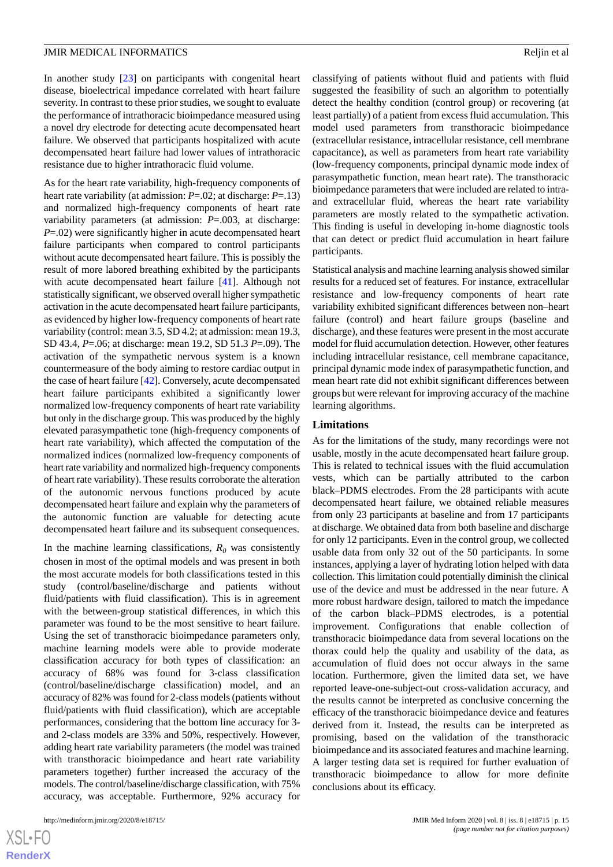In another study [[23\]](#page-16-15) on participants with congenital heart disease, bioelectrical impedance correlated with heart failure severity. In contrast to these prior studies, we sought to evaluate the performance of intrathoracic bioimpedance measured using a novel dry electrode for detecting acute decompensated heart failure. We observed that participants hospitalized with acute decompensated heart failure had lower values of intrathoracic resistance due to higher intrathoracic fluid volume.

As for the heart rate variability, high-frequency components of heart rate variability (at admission: *P*=.02; at discharge: *P*=.13) and normalized high-frequency components of heart rate variability parameters (at admission: *P*=.003, at discharge: *P*=.02) were significantly higher in acute decompensated heart failure participants when compared to control participants without acute decompensated heart failure. This is possibly the result of more labored breathing exhibited by the participants with acute decompensated heart failure [[41\]](#page-17-11). Although not statistically significant, we observed overall higher sympathetic activation in the acute decompensated heart failure participants, as evidenced by higher low-frequency components of heart rate variability (control: mean 3.5, SD 4.2; at admission: mean 19.3, SD 43.4, *P*=.06; at discharge: mean 19.2, SD 51.3 *P*=.09). The activation of the sympathetic nervous system is a known countermeasure of the body aiming to restore cardiac output in the case of heart failure [[42\]](#page-17-12). Conversely, acute decompensated heart failure participants exhibited a significantly lower normalized low-frequency components of heart rate variability but only in the discharge group. This was produced by the highly elevated parasympathetic tone (high-frequency components of heart rate variability), which affected the computation of the normalized indices (normalized low-frequency components of heart rate variability and normalized high-frequency components of heart rate variability). These results corroborate the alteration of the autonomic nervous functions produced by acute decompensated heart failure and explain why the parameters of the autonomic function are valuable for detecting acute decompensated heart failure and its subsequent consequences.

In the machine learning classifications,  $R_0$  was consistently chosen in most of the optimal models and was present in both the most accurate models for both classifications tested in this study (control/baseline/discharge and patients without fluid/patients with fluid classification). This is in agreement with the between-group statistical differences, in which this parameter was found to be the most sensitive to heart failure. Using the set of transthoracic bioimpedance parameters only, machine learning models were able to provide moderate classification accuracy for both types of classification: an accuracy of 68% was found for 3-class classification (control/baseline/discharge classification) model, and an accuracy of 82% was found for 2-class models (patients without fluid/patients with fluid classification), which are acceptable performances, considering that the bottom line accuracy for 3 and 2-class models are 33% and 50%, respectively. However, adding heart rate variability parameters (the model was trained with transthoracic bioimpedance and heart rate variability parameters together) further increased the accuracy of the models. The control/baseline/discharge classification, with 75% accuracy, was acceptable. Furthermore, 92% accuracy for

classifying of patients without fluid and patients with fluid suggested the feasibility of such an algorithm to potentially detect the healthy condition (control group) or recovering (at least partially) of a patient from excess fluid accumulation. This model used parameters from transthoracic bioimpedance (extracellular resistance, intracellular resistance, cell membrane capacitance), as well as parameters from heart rate variability (low-frequency components, principal dynamic mode index of parasympathetic function, mean heart rate). The transthoracic bioimpedance parameters that were included are related to intraand extracellular fluid, whereas the heart rate variability parameters are mostly related to the sympathetic activation. This finding is useful in developing in-home diagnostic tools that can detect or predict fluid accumulation in heart failure participants.

Statistical analysis and machine learning analysis showed similar results for a reduced set of features. For instance, extracellular resistance and low-frequency components of heart rate variability exhibited significant differences between non–heart failure (control) and heart failure groups (baseline and discharge), and these features were present in the most accurate model for fluid accumulation detection. However, other features including intracellular resistance, cell membrane capacitance, principal dynamic mode index of parasympathetic function, and mean heart rate did not exhibit significant differences between groups but were relevant for improving accuracy of the machine learning algorithms.

#### **Limitations**

As for the limitations of the study, many recordings were not usable, mostly in the acute decompensated heart failure group. This is related to technical issues with the fluid accumulation vests, which can be partially attributed to the carbon black–PDMS electrodes. From the 28 participants with acute decompensated heart failure, we obtained reliable measures from only 23 participants at baseline and from 17 participants at discharge. We obtained data from both baseline and discharge for only 12 participants. Even in the control group, we collected usable data from only 32 out of the 50 participants. In some instances, applying a layer of hydrating lotion helped with data collection. This limitation could potentially diminish the clinical use of the device and must be addressed in the near future. A more robust hardware design, tailored to match the impedance of the carbon black–PDMS electrodes, is a potential improvement. Configurations that enable collection of transthoracic bioimpedance data from several locations on the thorax could help the quality and usability of the data, as accumulation of fluid does not occur always in the same location. Furthermore, given the limited data set, we have reported leave-one-subject-out cross-validation accuracy, and the results cannot be interpreted as conclusive concerning the efficacy of the transthoracic bioimpedance device and features derived from it. Instead, the results can be interpreted as promising, based on the validation of the transthoracic bioimpedance and its associated features and machine learning. A larger testing data set is required for further evaluation of transthoracic bioimpedance to allow for more definite conclusions about its efficacy.

```
XS-FO
RenderX
```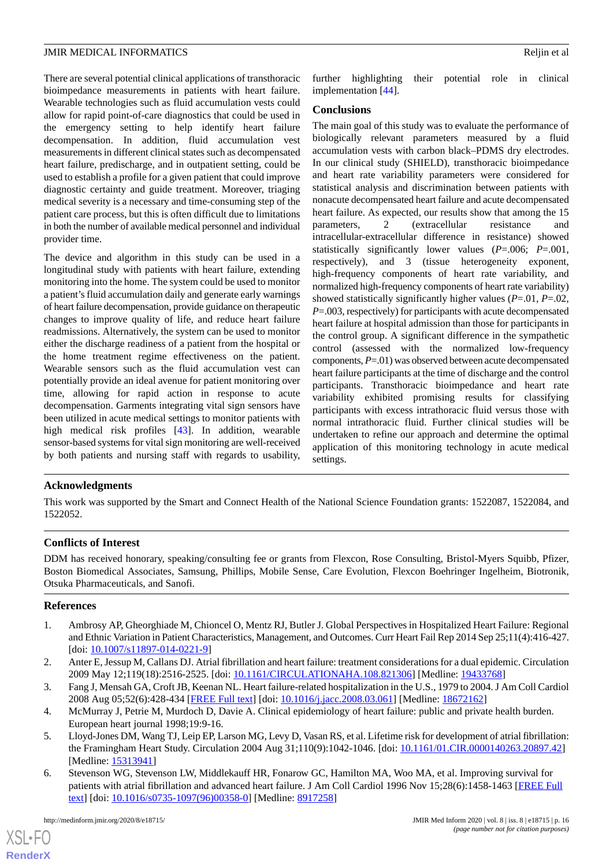There are several potential clinical applications of transthoracic bioimpedance measurements in patients with heart failure. Wearable technologies such as fluid accumulation vests could allow for rapid point-of-care diagnostics that could be used in the emergency setting to help identify heart failure decompensation. In addition, fluid accumulation vest measurements in different clinical states such as decompensated heart failure, predischarge, and in outpatient setting, could be used to establish a profile for a given patient that could improve diagnostic certainty and guide treatment. Moreover, triaging medical severity is a necessary and time-consuming step of the patient care process, but this is often difficult due to limitations in both the number of available medical personnel and individual provider time.

The device and algorithm in this study can be used in a longitudinal study with patients with heart failure, extending monitoring into the home. The system could be used to monitor a patient's fluid accumulation daily and generate early warnings of heart failure decompensation, provide guidance on therapeutic changes to improve quality of life, and reduce heart failure readmissions. Alternatively, the system can be used to monitor either the discharge readiness of a patient from the hospital or the home treatment regime effectiveness on the patient. Wearable sensors such as the fluid accumulation vest can potentially provide an ideal avenue for patient monitoring over time, allowing for rapid action in response to acute decompensation. Garments integrating vital sign sensors have been utilized in acute medical settings to monitor patients with high medical risk profiles [\[43](#page-17-13)]. In addition, wearable sensor-based systems for vital sign monitoring are well-received by both patients and nursing staff with regards to usability,

further highlighting their potential role in clinical implementation [\[44](#page-17-14)].

#### **Conclusions**

The main goal of this study was to evaluate the performance of biologically relevant parameters measured by a fluid accumulation vests with carbon black–PDMS dry electrodes. In our clinical study (SHIELD), transthoracic bioimpedance and heart rate variability parameters were considered for statistical analysis and discrimination between patients with nonacute decompensated heart failure and acute decompensated heart failure. As expected, our results show that among the 15 parameters, 2 (extracellular resistance and intracellular-extracellular difference in resistance) showed statistically significantly lower values (*P*=.006; *P*=.001, respectively), and 3 (tissue heterogeneity exponent, high-frequency components of heart rate variability, and normalized high-frequency components of heart rate variability) showed statistically significantly higher values (*P*=.01, *P*=.02, *P*=.003, respectively) for participants with acute decompensated heart failure at hospital admission than those for participants in the control group. A significant difference in the sympathetic control (assessed with the normalized low-frequency components, *P*=.01) was observed between acute decompensated heart failure participants at the time of discharge and the control participants. Transthoracic bioimpedance and heart rate variability exhibited promising results for classifying participants with excess intrathoracic fluid versus those with normal intrathoracic fluid. Further clinical studies will be undertaken to refine our approach and determine the optimal application of this monitoring technology in acute medical settings.

## **Acknowledgments**

This work was supported by the Smart and Connect Health of the National Science Foundation grants: 1522087, 1522084, and 1522052.

#### **Conflicts of Interest**

<span id="page-15-0"></span>DDM has received honorary, speaking/consulting fee or grants from Flexcon, Rose Consulting, Bristol-Myers Squibb, Pfizer, Boston Biomedical Associates, Samsung, Phillips, Mobile Sense, Care Evolution, Flexcon Boehringer Ingelheim, Biotronik, Otsuka Pharmaceuticals, and Sanofi.

#### **References**

- <span id="page-15-1"></span>1. Ambrosy AP, Gheorghiade M, Chioncel O, Mentz RJ, Butler J. Global Perspectives in Hospitalized Heart Failure: Regional and Ethnic Variation in Patient Characteristics, Management, and Outcomes. Curr Heart Fail Rep 2014 Sep 25;11(4):416-427. [doi: [10.1007/s11897-014-0221-9](http://dx.doi.org/10.1007/s11897-014-0221-9)]
- <span id="page-15-2"></span>2. Anter E, Jessup M, Callans DJ. Atrial fibrillation and heart failure: treatment considerations for a dual epidemic. Circulation 2009 May 12;119(18):2516-2525. [doi: [10.1161/CIRCULATIONAHA.108.821306](http://dx.doi.org/10.1161/CIRCULATIONAHA.108.821306)] [Medline: [19433768\]](http://www.ncbi.nlm.nih.gov/entrez/query.fcgi?cmd=Retrieve&db=PubMed&list_uids=19433768&dopt=Abstract)
- <span id="page-15-3"></span>3. Fang J, Mensah GA, Croft JB, Keenan NL. Heart failure-related hospitalization in the U.S., 1979 to 2004. J Am Coll Cardiol 2008 Aug 05;52(6):428-434 [\[FREE Full text\]](https://linkinghub.elsevier.com/retrieve/pii/S0735-1097(08)01790-7) [doi: [10.1016/j.jacc.2008.03.061\]](http://dx.doi.org/10.1016/j.jacc.2008.03.061) [Medline: [18672162\]](http://www.ncbi.nlm.nih.gov/entrez/query.fcgi?cmd=Retrieve&db=PubMed&list_uids=18672162&dopt=Abstract)
- 4. McMurray J, Petrie M, Murdoch D, Davie A. Clinical epidemiology of heart failure: public and private health burden. European heart journal 1998;19:9-16.
- 5. Lloyd-Jones DM, Wang TJ, Leip EP, Larson MG, Levy D, Vasan RS, et al. Lifetime risk for development of atrial fibrillation: the Framingham Heart Study. Circulation 2004 Aug 31;110(9):1042-1046. [doi: [10.1161/01.CIR.0000140263.20897.42\]](http://dx.doi.org/10.1161/01.CIR.0000140263.20897.42) [Medline: [15313941](http://www.ncbi.nlm.nih.gov/entrez/query.fcgi?cmd=Retrieve&db=PubMed&list_uids=15313941&dopt=Abstract)]
- 6. Stevenson WG, Stevenson LW, Middlekauff HR, Fonarow GC, Hamilton MA, Woo MA, et al. Improving survival for patients with atrial fibrillation and advanced heart failure. J Am Coll Cardiol 1996 Nov 15;28(6):1458-1463 [[FREE Full](https://linkinghub.elsevier.com/retrieve/pii/S0735-1097(96)00358-0) [text](https://linkinghub.elsevier.com/retrieve/pii/S0735-1097(96)00358-0)] [doi: [10.1016/s0735-1097\(96\)00358-0](http://dx.doi.org/10.1016/s0735-1097(96)00358-0)] [Medline: [8917258\]](http://www.ncbi.nlm.nih.gov/entrez/query.fcgi?cmd=Retrieve&db=PubMed&list_uids=8917258&dopt=Abstract)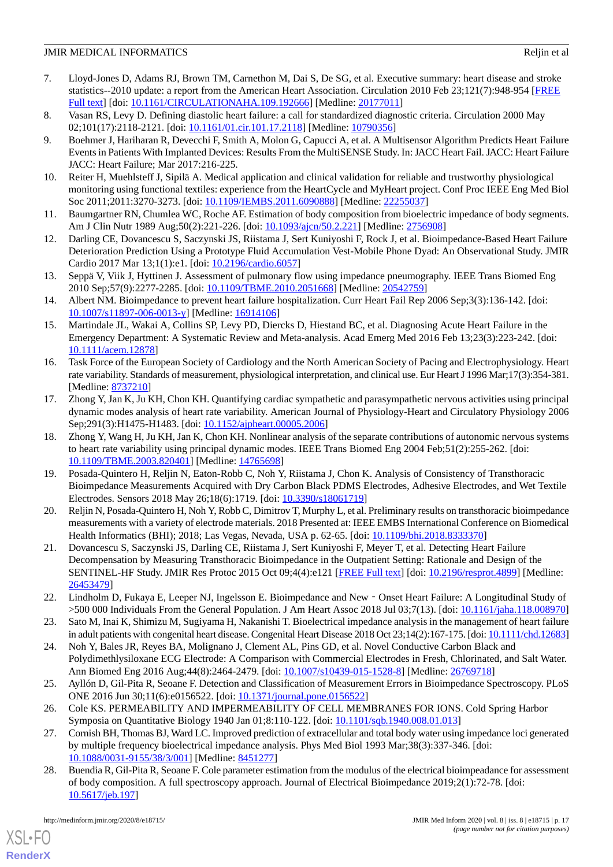- <span id="page-16-0"></span>7. Lloyd-Jones D, Adams RJ, Brown TM, Carnethon M, Dai S, De SG, et al. Executive summary: heart disease and stroke statistics--2010 update: a report from the American Heart Association. Circulation 2010 Feb 23;121(7):948-954 [[FREE](http://circ.ahajournals.org/cgi/pmidlookup?view=long&pmid=20177011) [Full text\]](http://circ.ahajournals.org/cgi/pmidlookup?view=long&pmid=20177011) [doi: [10.1161/CIRCULATIONAHA.109.192666](http://dx.doi.org/10.1161/CIRCULATIONAHA.109.192666)] [Medline: [20177011](http://www.ncbi.nlm.nih.gov/entrez/query.fcgi?cmd=Retrieve&db=PubMed&list_uids=20177011&dopt=Abstract)]
- <span id="page-16-2"></span><span id="page-16-1"></span>8. Vasan RS, Levy D. Defining diastolic heart failure: a call for standardized diagnostic criteria. Circulation 2000 May 02;101(17):2118-2121. [doi: [10.1161/01.cir.101.17.2118\]](http://dx.doi.org/10.1161/01.cir.101.17.2118) [Medline: [10790356\]](http://www.ncbi.nlm.nih.gov/entrez/query.fcgi?cmd=Retrieve&db=PubMed&list_uids=10790356&dopt=Abstract)
- 9. Boehmer J, Hariharan R, Devecchi F, Smith A, Molon G, Capucci A, et al. A Multisensor Algorithm Predicts Heart Failure Events in Patients With Implanted Devices: Results From the MultiSENSE Study. In: JACC Heart Fail. JACC: Heart Failure JACC: Heart Failure; Mar 2017:216-225.
- <span id="page-16-4"></span><span id="page-16-3"></span>10. Reiter H, Muehlsteff J, Sipilä A. Medical application and clinical validation for reliable and trustworthy physiological monitoring using functional textiles: experience from the HeartCycle and MyHeart project. Conf Proc IEEE Eng Med Biol Soc 2011;2011:3270-3273. [doi: [10.1109/IEMBS.2011.6090888](http://dx.doi.org/10.1109/IEMBS.2011.6090888)] [Medline: [22255037\]](http://www.ncbi.nlm.nih.gov/entrez/query.fcgi?cmd=Retrieve&db=PubMed&list_uids=22255037&dopt=Abstract)
- <span id="page-16-12"></span>11. Baumgartner RN, Chumlea WC, Roche AF. Estimation of body composition from bioelectric impedance of body segments. Am J Clin Nutr 1989 Aug;50(2):221-226. [doi: [10.1093/ajcn/50.2.221](http://dx.doi.org/10.1093/ajcn/50.2.221)] [Medline: [2756908](http://www.ncbi.nlm.nih.gov/entrez/query.fcgi?cmd=Retrieve&db=PubMed&list_uids=2756908&dopt=Abstract)]
- <span id="page-16-5"></span>12. Darling CE, Dovancescu S, Saczynski JS, Riistama J, Sert Kuniyoshi F, Rock J, et al. Bioimpedance-Based Heart Failure Deterioration Prediction Using a Prototype Fluid Accumulation Vest-Mobile Phone Dyad: An Observational Study. JMIR Cardio 2017 Mar 13;1(1):e1. [doi: [10.2196/cardio.6057\]](http://dx.doi.org/10.2196/cardio.6057)
- <span id="page-16-6"></span>13. Seppä V, Viik J, Hyttinen J. Assessment of pulmonary flow using impedance pneumography. IEEE Trans Biomed Eng 2010 Sep;57(9):2277-2285. [doi: [10.1109/TBME.2010.2051668](http://dx.doi.org/10.1109/TBME.2010.2051668)] [Medline: [20542759\]](http://www.ncbi.nlm.nih.gov/entrez/query.fcgi?cmd=Retrieve&db=PubMed&list_uids=20542759&dopt=Abstract)
- <span id="page-16-7"></span>14. Albert NM. Bioimpedance to prevent heart failure hospitalization. Curr Heart Fail Rep 2006 Sep;3(3):136-142. [doi: [10.1007/s11897-006-0013-y\]](http://dx.doi.org/10.1007/s11897-006-0013-y) [Medline: [16914106](http://www.ncbi.nlm.nih.gov/entrez/query.fcgi?cmd=Retrieve&db=PubMed&list_uids=16914106&dopt=Abstract)]
- <span id="page-16-8"></span>15. Martindale JL, Wakai A, Collins SP, Levy PD, Diercks D, Hiestand BC, et al. Diagnosing Acute Heart Failure in the Emergency Department: A Systematic Review and Meta-analysis. Acad Emerg Med 2016 Feb 13;23(3):223-242. [doi: [10.1111/acem.12878](http://dx.doi.org/10.1111/acem.12878)]
- <span id="page-16-17"></span>16. Task Force of the European Society of Cardiology and the North American Society of Pacing and Electrophysiology. Heart rate variability. Standards of measurement, physiological interpretation, and clinical use. Eur Heart J 1996 Mar;17(3):354-381. [Medline: [8737210\]](http://www.ncbi.nlm.nih.gov/entrez/query.fcgi?cmd=Retrieve&db=PubMed&list_uids=8737210&dopt=Abstract)
- <span id="page-16-9"></span>17. Zhong Y, Jan K, Ju KH, Chon KH. Quantifying cardiac sympathetic and parasympathetic nervous activities using principal dynamic modes analysis of heart rate variability. American Journal of Physiology-Heart and Circulatory Physiology 2006 Sep;291(3):H1475-H1483. [doi: [10.1152/ajpheart.00005.2006](http://dx.doi.org/10.1152/ajpheart.00005.2006)]
- <span id="page-16-10"></span>18. Zhong Y, Wang H, Ju KH, Jan K, Chon KH. Nonlinear analysis of the separate contributions of autonomic nervous systems to heart rate variability using principal dynamic modes. IEEE Trans Biomed Eng 2004 Feb;51(2):255-262. [doi: [10.1109/TBME.2003.820401\]](http://dx.doi.org/10.1109/TBME.2003.820401) [Medline: [14765698](http://www.ncbi.nlm.nih.gov/entrez/query.fcgi?cmd=Retrieve&db=PubMed&list_uids=14765698&dopt=Abstract)]
- <span id="page-16-11"></span>19. Posada-Quintero H, Reljin N, Eaton-Robb C, Noh Y, Riistama J, Chon K. Analysis of Consistency of Transthoracic Bioimpedance Measurements Acquired with Dry Carbon Black PDMS Electrodes, Adhesive Electrodes, and Wet Textile Electrodes. Sensors 2018 May 26;18(6):1719. [doi: [10.3390/s18061719\]](http://dx.doi.org/10.3390/s18061719)
- <span id="page-16-13"></span>20. Reljin N, Posada-Quintero H, Noh Y, Robb C, Dimitrov T, Murphy L, et al. Preliminary results on transthoracic bioimpedance measurements with a variety of electrode materials. 2018 Presented at: IEEE EMBS International Conference on Biomedical Health Informatics (BHI); 2018; Las Vegas, Nevada, USA p. 62-65. [doi: [10.1109/bhi.2018.8333370\]](http://dx.doi.org/10.1109/bhi.2018.8333370)
- <span id="page-16-15"></span><span id="page-16-14"></span>21. Dovancescu S, Saczynski JS, Darling CE, Riistama J, Sert Kuniyoshi F, Meyer T, et al. Detecting Heart Failure Decompensation by Measuring Transthoracic Bioimpedance in the Outpatient Setting: Rationale and Design of the SENTINEL-HF Study. JMIR Res Protoc 2015 Oct 09;4(4):e121 [[FREE Full text](https://www.researchprotocols.org/2015/4/e121/)] [doi: [10.2196/resprot.4899](http://dx.doi.org/10.2196/resprot.4899)] [Medline: [26453479](http://www.ncbi.nlm.nih.gov/entrez/query.fcgi?cmd=Retrieve&db=PubMed&list_uids=26453479&dopt=Abstract)]
- <span id="page-16-16"></span>22. Lindholm D, Fukaya E, Leeper NJ, Ingelsson E. Bioimpedance and New‐Onset Heart Failure: A Longitudinal Study of >500 000 Individuals From the General Population. J Am Heart Assoc 2018 Jul 03;7(13). [doi: [10.1161/jaha.118.008970](http://dx.doi.org/10.1161/jaha.118.008970)]
- <span id="page-16-18"></span>23. Sato M, Inai K, Shimizu M, Sugiyama H, Nakanishi T. Bioelectrical impedance analysis in the management of heart failure in adult patients with congenital heart disease. Congenital Heart Disease 2018 Oct 23;14(2):167-175. [doi: [10.1111/chd.12683\]](http://dx.doi.org/10.1111/chd.12683)
- <span id="page-16-19"></span>24. Noh Y, Bales JR, Reyes BA, Molignano J, Clement AL, Pins GD, et al. Novel Conductive Carbon Black and Polydimethlysiloxane ECG Electrode: A Comparison with Commercial Electrodes in Fresh, Chlorinated, and Salt Water. Ann Biomed Eng 2016 Aug; 44(8): 2464-2479. [doi:  $\frac{10.1007}{s}10.439 - 015 - 1528 - 8$ ] [Medline: [26769718\]](http://www.ncbi.nlm.nih.gov/entrez/query.fcgi?cmd=Retrieve&db=PubMed&list_uids=26769718&dopt=Abstract)
- <span id="page-16-20"></span>25. Ayllón D, Gil-Pita R, Seoane F. Detection and Classification of Measurement Errors in Bioimpedance Spectroscopy. PLoS ONE 2016 Jun 30;11(6):e0156522. [doi: [10.1371/journal.pone.0156522\]](http://dx.doi.org/10.1371/journal.pone.0156522)
- 26. Cole KS. PERMEABILITY AND IMPERMEABILITY OF CELL MEMBRANES FOR IONS. Cold Spring Harbor Symposia on Quantitative Biology 1940 Jan 01;8:110-122. [doi: [10.1101/sqb.1940.008.01.013\]](http://dx.doi.org/10.1101/sqb.1940.008.01.013)
- 27. Cornish BH, Thomas BJ, Ward LC. Improved prediction of extracellular and total body water using impedance loci generated by multiple frequency bioelectrical impedance analysis. Phys Med Biol 1993 Mar;38(3):337-346. [doi: [10.1088/0031-9155/38/3/001\]](http://dx.doi.org/10.1088/0031-9155/38/3/001) [Medline: [8451277](http://www.ncbi.nlm.nih.gov/entrez/query.fcgi?cmd=Retrieve&db=PubMed&list_uids=8451277&dopt=Abstract)]
- 28. Buendia R, Gil-Pita R, Seoane F. Cole parameter estimation from the modulus of the electrical bioimpeadance for assessment of body composition. A full spectroscopy approach. Journal of Electrical Bioimpedance 2019;2(1):72-78. [doi: [10.5617/jeb.197](http://dx.doi.org/10.5617/jeb.197)]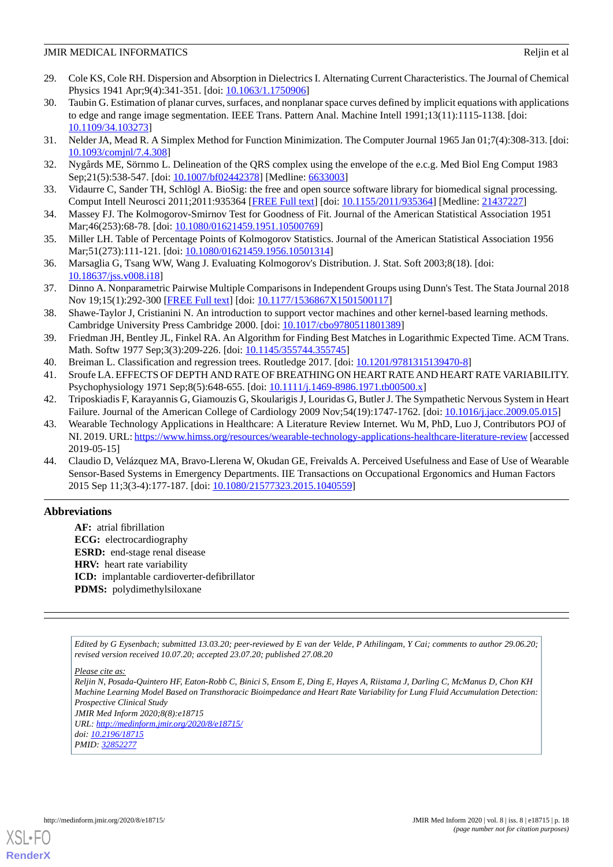- <span id="page-17-0"></span>29. Cole KS, Cole RH. Dispersion and Absorption in Dielectrics I. Alternating Current Characteristics. The Journal of Chemical Physics 1941 Apr; 9(4): 341-351. [doi: [10.1063/1.1750906](http://dx.doi.org/10.1063/1.1750906)]
- <span id="page-17-1"></span>30. Taubin G. Estimation of planar curves, surfaces, and nonplanar space curves defined by implicit equations with applications to edge and range image segmentation. IEEE Trans. Pattern Anal. Machine Intell 1991;13(11):1115-1138. [doi: [10.1109/34.103273](http://dx.doi.org/10.1109/34.103273)]
- <span id="page-17-3"></span><span id="page-17-2"></span>31. Nelder JA, Mead R. A Simplex Method for Function Minimization. The Computer Journal 1965 Jan 01;7(4):308-313. [doi: [10.1093/comjnl/7.4.308](http://dx.doi.org/10.1093/comjnl/7.4.308)]
- <span id="page-17-4"></span>32. Nygårds ME, Sörnmo L. Delineation of the QRS complex using the envelope of the e.c.g. Med Biol Eng Comput 1983 Sep;21(5):538-547. [doi: [10.1007/bf02442378](http://dx.doi.org/10.1007/bf02442378)] [Medline: [6633003\]](http://www.ncbi.nlm.nih.gov/entrez/query.fcgi?cmd=Retrieve&db=PubMed&list_uids=6633003&dopt=Abstract)
- <span id="page-17-5"></span>33. Vidaurre C, Sander TH, Schlögl A. BioSig: the free and open source software library for biomedical signal processing. Comput Intell Neurosci 2011;2011:935364 [[FREE Full text](https://dx.doi.org/10.1155/2011/935364)] [doi: [10.1155/2011/935364](http://dx.doi.org/10.1155/2011/935364)] [Medline: [21437227](http://www.ncbi.nlm.nih.gov/entrez/query.fcgi?cmd=Retrieve&db=PubMed&list_uids=21437227&dopt=Abstract)]
- 34. Massey FJ. The Kolmogorov-Smirnov Test for Goodness of Fit. Journal of the American Statistical Association 1951 Mar;46(253):68-78. [doi: [10.1080/01621459.1951.10500769](http://dx.doi.org/10.1080/01621459.1951.10500769)]
- <span id="page-17-6"></span>35. Miller LH. Table of Percentage Points of Kolmogorov Statistics. Journal of the American Statistical Association 1956 Mar;51(273):111-121. [doi: [10.1080/01621459.1956.10501314](http://dx.doi.org/10.1080/01621459.1956.10501314)]
- <span id="page-17-7"></span>36. Marsaglia G, Tsang WW, Wang J. Evaluating Kolmogorov's Distribution. J. Stat. Soft 2003;8(18). [doi: [10.18637/jss.v008.i18](http://dx.doi.org/10.18637/jss.v008.i18)]
- <span id="page-17-8"></span>37. Dinno A. Nonparametric Pairwise Multiple Comparisons in Independent Groups using Dunn's Test. The Stata Journal 2018 Nov 19;15(1):292-300 [\[FREE Full text\]](http://www.mathworks.com/matlabcentral/fileexchange/12827) [doi: [10.1177/1536867X1501500117\]](http://dx.doi.org/10.1177/1536867X1501500117)
- <span id="page-17-9"></span>38. Shawe-Taylor J, Cristianini N. An introduction to support vector machines and other kernel-based learning methods. Cambridge University Press Cambridge 2000. [doi: [10.1017/cbo9780511801389](http://dx.doi.org/10.1017/cbo9780511801389)]
- <span id="page-17-11"></span><span id="page-17-10"></span>39. Friedman JH, Bentley JL, Finkel RA. An Algorithm for Finding Best Matches in Logarithmic Expected Time. ACM Trans. Math. Softw 1977 Sep;3(3):209-226. [doi: [10.1145/355744.355745](http://dx.doi.org/10.1145/355744.355745)]
- <span id="page-17-12"></span>40. Breiman L. Classification and regression trees. Routledge 2017. [doi: [10.1201/9781315139470-8\]](http://dx.doi.org/10.1201/9781315139470-8)
- <span id="page-17-13"></span>41. Sroufe LA. EFFECTS OF DEPTH AND RATE OF BREATHING ON HEART RATE AND HEART RATE VARIABILITY. Psychophysiology 1971 Sep;8(5):648-655. [doi: [10.1111/j.1469-8986.1971.tb00500.x\]](http://dx.doi.org/10.1111/j.1469-8986.1971.tb00500.x)
- 42. Triposkiadis F, Karayannis G, Giamouzis G, Skoularigis J, Louridas G, Butler J. The Sympathetic Nervous System in Heart Failure. Journal of the American College of Cardiology 2009 Nov;54(19):1747-1762. [doi: [10.1016/j.jacc.2009.05.015\]](http://dx.doi.org/10.1016/j.jacc.2009.05.015)
- <span id="page-17-14"></span>43. Wearable Technology Applications in Healthcare: A Literature Review Internet. Wu M, PhD, Luo J, Contributors POJ of NI. 2019. URL:<https://www.himss.org/resources/wearable-technology-applications-healthcare-literature-review> [accessed 2019-05-15]
- 44. Claudio D, Velázquez MA, Bravo-Llerena W, Okudan GE, Freivalds A. Perceived Usefulness and Ease of Use of Wearable Sensor-Based Systems in Emergency Departments. IIE Transactions on Occupational Ergonomics and Human Factors 2015 Sep 11;3(3-4):177-187. [doi: [10.1080/21577323.2015.1040559](http://dx.doi.org/10.1080/21577323.2015.1040559)]

# **Abbreviations**

**AF:** atrial fibrillation **ECG:** electrocardiography **ESRD:** end-stage renal disease **HRV:** heart rate variability **ICD:** implantable cardioverter-defibrillator **PDMS:** polydimethylsiloxane

*Edited by G Eysenbach; submitted 13.03.20; peer-reviewed by E van der Velde, P Athilingam, Y Cai; comments to author 29.06.20; revised version received 10.07.20; accepted 23.07.20; published 27.08.20*

*Please cite as:*

*Reljin N, Posada-Quintero HF, Eaton-Robb C, Binici S, Ensom E, Ding E, Hayes A, Riistama J, Darling C, McManus D, Chon KH Machine Learning Model Based on Transthoracic Bioimpedance and Heart Rate Variability for Lung Fluid Accumulation Detection: Prospective Clinical Study*

*JMIR Med Inform 2020;8(8):e18715 URL: <http://medinform.jmir.org/2020/8/e18715/> doi: [10.2196/18715](http://dx.doi.org/10.2196/18715) PMID: [32852277](http://www.ncbi.nlm.nih.gov/entrez/query.fcgi?cmd=Retrieve&db=PubMed&list_uids=32852277&dopt=Abstract)*